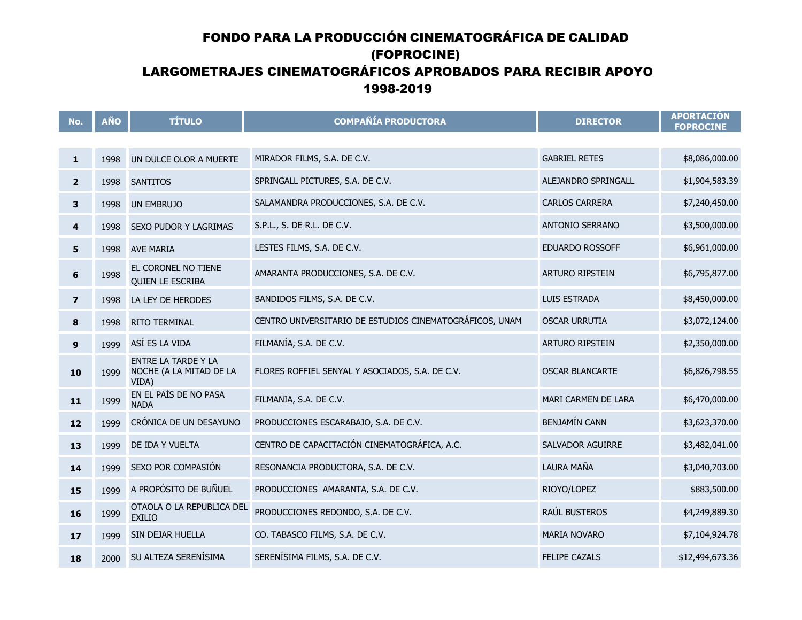| No.                     | <b>AÑO</b> | <b>TÍTULO</b>                                           | <b>COMPAÑÍA PRODUCTORA</b>                              | <b>DIRECTOR</b>        | <b>APORTACIÓN</b><br><b>FOPROCINE</b> |
|-------------------------|------------|---------------------------------------------------------|---------------------------------------------------------|------------------------|---------------------------------------|
|                         |            |                                                         |                                                         |                        |                                       |
| 1                       | 1998       | UN DULCE OLOR A MUERTE                                  | MIRADOR FILMS, S.A. DE C.V.                             | <b>GABRIEL RETES</b>   | \$8,086,000.00                        |
| $\overline{2}$          | 1998       | <b>SANTITOS</b>                                         | SPRINGALL PICTURES, S.A. DE C.V.                        | ALEJANDRO SPRINGALL    | \$1,904,583.39                        |
| 3                       | 1998       | UN EMBRUJO                                              | SALAMANDRA PRODUCCIONES, S.A. DE C.V.                   | <b>CARLOS CARRERA</b>  | \$7,240,450.00                        |
| 4                       | 1998       | <b>SEXO PUDOR Y LAGRIMAS</b>                            | S.P.L., S. DE R.L. DE C.V.                              | ANTONIO SERRANO        | \$3,500,000.00                        |
| 5                       | 1998       | <b>AVE MARIA</b>                                        | LESTES FILMS, S.A. DE C.V.                              | EDUARDO ROSSOFF        | \$6,961,000.00                        |
| 6                       | 1998       | EL CORONEL NO TIENE<br><b>QUIEN LE ESCRIBA</b>          | AMARANTA PRODUCCIONES, S.A. DE C.V.                     | <b>ARTURO RIPSTEIN</b> | \$6,795,877.00                        |
| $\overline{\mathbf{z}}$ | 1998       | LA LEY DE HERODES                                       | BANDIDOS FILMS, S.A. DE C.V.                            | LUIS ESTRADA           | \$8,450,000.00                        |
| 8                       | 1998       | RITO TERMINAL                                           | CENTRO UNIVERSITARIO DE ESTUDIOS CINEMATOGRÁFICOS, UNAM | <b>OSCAR URRUTIA</b>   | \$3,072,124.00                        |
| 9                       | 1999       | ASÍ ES LA VIDA                                          | FILMANÍA, S.A. DE C.V.                                  | <b>ARTURO RIPSTEIN</b> | \$2,350,000.00                        |
| 10                      | 1999       | ENTRE LA TARDE Y LA<br>NOCHE (A LA MITAD DE LA<br>VIDA) | FLORES ROFFIEL SENYAL Y ASOCIADOS, S.A. DE C.V.         | <b>OSCAR BLANCARTE</b> | \$6,826,798.55                        |
| 11                      | 1999       | EN EL PAÍS DE NO PASA<br><b>NADA</b>                    | FILMANIA, S.A. DE C.V.                                  | MARI CARMEN DE LARA    | \$6,470,000.00                        |
| 12                      | 1999       | CRÓNICA DE UN DESAYUNO                                  | PRODUCCIONES ESCARABAJO, S.A. DE C.V.                   | <b>BENJAMÍN CANN</b>   | \$3,623,370.00                        |
| 13                      | 1999       | DE IDA Y VUELTA                                         | CENTRO DE CAPACITACIÓN CINEMATOGRÁFICA, A.C.            | SALVADOR AGUIRRE       | \$3,482,041.00                        |
| 14                      | 1999       | SEXO POR COMPASIÓN                                      | RESONANCIA PRODUCTORA, S.A. DE C.V.                     | LAURA MAÑA             | \$3,040,703.00                        |
| 15                      | 1999       | A PROPÓSITO DE BUÑUEL                                   | PRODUCCIONES AMARANTA, S.A. DE C.V.                     | RIOYO/LOPEZ            | \$883,500.00                          |
| 16                      | 1999       | OTAOLA O LA REPUBLICA DEL<br><b>EXILIO</b>              | PRODUCCIONES REDONDO, S.A. DE C.V.                      | RAÚL BUSTEROS          | \$4,249,889.30                        |
| 17                      | 1999       | SIN DEJAR HUELLA                                        | CO. TABASCO FILMS, S.A. DE C.V.                         | <b>MARIA NOVARO</b>    | \$7,104,924.78                        |
| 18                      | 2000       | SU ALTEZA SERENÍSIMA                                    | SERENÍSIMA FILMS, S.A. DE C.V.                          | <b>FELIPE CAZALS</b>   | \$12,494,673.36                       |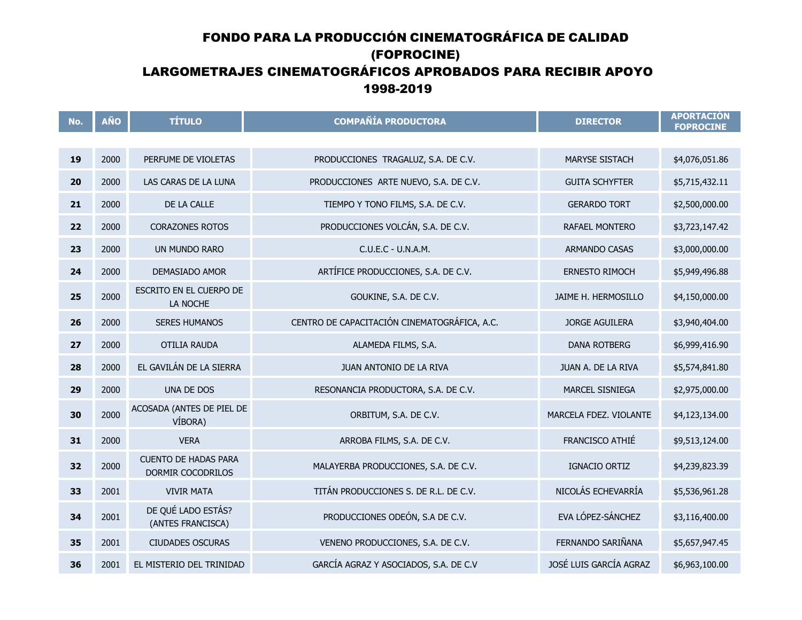| No. | <b>AÑO</b> | <b>TÍTULO</b>                                    | <b>COMPAÑÍA PRODUCTORA</b>                   | <b>DIRECTOR</b>        | <b>APORTACIÓN</b><br><b>FOPROCINE</b> |
|-----|------------|--------------------------------------------------|----------------------------------------------|------------------------|---------------------------------------|
|     |            |                                                  |                                              |                        |                                       |
| 19  | 2000       | PERFUME DE VIOLETAS                              | PRODUCCIONES TRAGALUZ, S.A. DE C.V.          | <b>MARYSE SISTACH</b>  | \$4,076,051.86                        |
| 20  | 2000       | LAS CARAS DE LA LUNA                             | PRODUCCIONES ARTE NUEVO, S.A. DE C.V.        | <b>GUITA SCHYFTER</b>  | \$5,715,432.11                        |
| 21  | 2000       | DE LA CALLE                                      | TIEMPO Y TONO FILMS, S.A. DE C.V.            | <b>GERARDO TORT</b>    | \$2,500,000.00                        |
| 22  | 2000       | <b>CORAZONES ROTOS</b>                           | PRODUCCIONES VOLCÁN, S.A. DE C.V.            | RAFAEL MONTERO         | \$3,723,147.42                        |
| 23  | 2000       | UN MUNDO RARO                                    | C.U.E.C - U.N.A.M.                           | <b>ARMANDO CASAS</b>   | \$3,000,000.00                        |
| 24  | 2000       | DEMASIADO AMOR                                   | ARTÍFICE PRODUCCIONES, S.A. DE C.V.          | <b>ERNESTO RIMOCH</b>  | \$5,949,496.88                        |
| 25  | 2000       | ESCRITO EN EL CUERPO DE<br>LA NOCHE              | GOUKINE, S.A. DE C.V.                        | JAIME H. HERMOSILLO    | \$4,150,000.00                        |
| 26  | 2000       | <b>SERES HUMANOS</b>                             | CENTRO DE CAPACITACIÓN CINEMATOGRÁFICA, A.C. | <b>JORGE AGUILERA</b>  | \$3,940,404.00                        |
| 27  | 2000       | <b>OTILIA RAUDA</b>                              | ALAMEDA FILMS, S.A.                          | <b>DANA ROTBERG</b>    | \$6,999,416.90                        |
| 28  | 2000       | EL GAVILÁN DE LA SIERRA                          | JUAN ANTONIO DE LA RIVA                      | JUAN A. DE LA RIVA     | \$5,574,841.80                        |
| 29  | 2000       | <b>UNA DE DOS</b>                                | RESONANCIA PRODUCTORA, S.A. DE C.V.          | MARCEL SISNIEGA        | \$2,975,000.00                        |
| 30  | 2000       | ACOSADA (ANTES DE PIEL DE<br>VÍBORA)             | ORBITUM, S.A. DE C.V.                        | MARCELA FDEZ. VIOLANTE | \$4,123,134.00                        |
| 31  | 2000       | <b>VERA</b>                                      | ARROBA FILMS, S.A. DE C.V.                   | FRANCISCO ATHIÉ        | \$9,513,124.00                        |
| 32  | 2000       | <b>CUENTO DE HADAS PARA</b><br>DORMIR COCODRILOS | MALAYERBA PRODUCCIONES, S.A. DE C.V.         | IGNACIO ORTIZ          | \$4,239,823.39                        |
| 33  | 2001       | <b>VIVIR MATA</b>                                | TITÁN PRODUCCIONES S. DE R.L. DE C.V.        | NICOLÁS ECHEVARRÍA     | \$5,536,961.28                        |
| 34  | 2001       | DE QUÉ LADO ESTÁS?<br>(ANTES FRANCISCA)          | PRODUCCIONES ODEÓN, S.A DE C.V.              | EVA LÓPEZ-SÁNCHEZ      | \$3,116,400.00                        |
| 35  | 2001       | <b>CIUDADES OSCURAS</b>                          | VENENO PRODUCCIONES, S.A. DE C.V.            | FERNANDO SARIÑANA      | \$5,657,947.45                        |
| 36  | 2001       | EL MISTERIO DEL TRINIDAD                         | GARCÍA AGRAZ Y ASOCIADOS, S.A. DE C.V        | JOSÉ LUIS GARCÍA AGRAZ | \$6,963,100.00                        |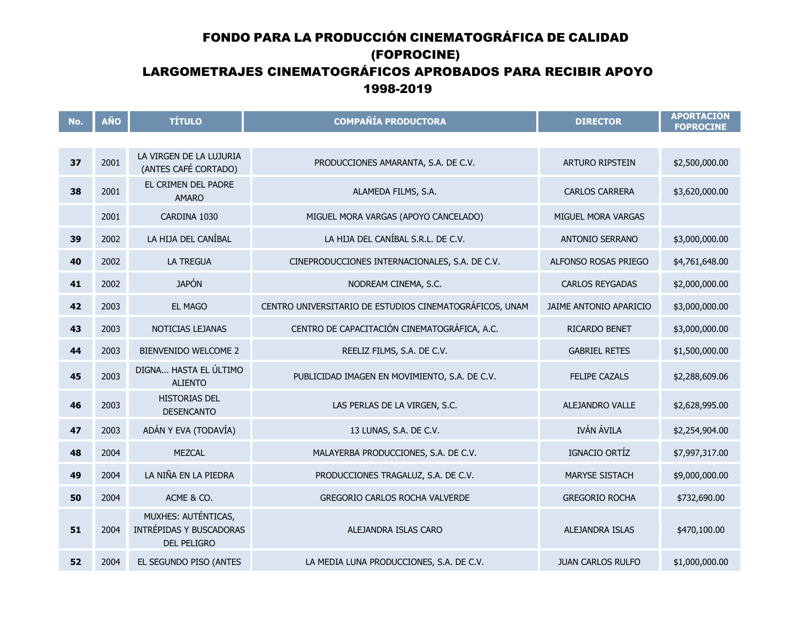| No. | <b>AÑO</b> | <b>TÍTULO</b>                                                        | <b>COMPAÑÍA PRODUCTORA</b>                              | <b>DIRECTOR</b>          | <b>APORTACIÓN</b><br><b>FOPROCINE</b> |
|-----|------------|----------------------------------------------------------------------|---------------------------------------------------------|--------------------------|---------------------------------------|
|     |            |                                                                      |                                                         |                          |                                       |
| 37  | 2001       | LA VIRGEN DE LA LUJURIA<br>(ANTES CAFÉ CORTADO)                      | PRODUCCIONES AMARANTA, S.A. DE C.V.                     | <b>ARTURO RIPSTEIN</b>   | \$2,500,000.00                        |
| 38  | 2001       | EL CRIMEN DEL PADRE<br><b>AMARO</b>                                  | ALAMEDA FILMS, S.A.                                     | CARLOS CARRERA           | \$3,620,000.00                        |
|     | 2001       | CARDINA 1030                                                         | MIGUEL MORA VARGAS (APOYO CANCELADO)                    | MIGUEL MORA VARGAS       |                                       |
| 39  | 2002       | LA HIJA DEL CANÍBAL                                                  | LA HIJA DEL CANÍBAL S.R.L. DE C.V.                      | ANTONIO SERRANO          | \$3,000,000.00                        |
| 40  | 2002       | <b>LA TREGUA</b>                                                     | CINEPRODUCCIONES INTERNACIONALES, S.A. DE C.V.          | ALFONSO ROSAS PRIEGO     | \$4,761,648.00                        |
| 41  | 2002       | <b>JAPÓN</b>                                                         | NODREAM CINEMA, S.C.                                    | <b>CARLOS REYGADAS</b>   | \$2,000,000.00                        |
| 42  | 2003       | EL MAGO                                                              | CENTRO UNIVERSITARIO DE ESTUDIOS CINEMATOGRÁFICOS, UNAM | JAIME ANTONIO APARICIO   | \$3,000,000.00                        |
| 43  | 2003       | NOTICIAS LEJANAS                                                     | CENTRO DE CAPACITACIÓN CINEMATOGRÁFICA, A.C.            | RICARDO BENET            | \$3,000,000.00                        |
| 44  | 2003       | <b>BIENVENIDO WELCOME 2</b>                                          | REELIZ FILMS, S.A. DE C.V.                              | <b>GABRIEL RETES</b>     | \$1,500,000.00                        |
| 45  | 2003       | DIGNA HASTA EL ÚLTIMO<br><b>ALIENTO</b>                              | PUBLICIDAD IMAGEN EN MOVIMIENTO, S.A. DE C.V.           | <b>FELIPE CAZALS</b>     | \$2,288,609.06                        |
| 46  | 2003       | <b>HISTORIAS DEL</b><br><b>DESENCANTO</b>                            | LAS PERLAS DE LA VIRGEN, S.C.                           | ALEJANDRO VALLE          | \$2,628,995.00                        |
| 47  | 2003       | ADÁN Y EVA (TODAVÍA)                                                 | 13 LUNAS, S.A. DE C.V.                                  | IVÁN ÁVILA               | \$2,254,904.00                        |
| 48  | 2004       | <b>MEZCAL</b>                                                        | MALAYERBA PRODUCCIONES, S.A. DE C.V.                    | IGNACIO ORTÍZ            | \$7,997,317.00                        |
| 49  | 2004       | LA NIÑA EN LA PIEDRA                                                 | PRODUCCIONES TRAGALUZ, S.A. DE C.V.                     | MARYSE SISTACH           | \$9,000,000.00                        |
| 50  | 2004       | ACME & CO.                                                           | GREGORIO CARLOS ROCHA VALVERDE                          | <b>GREGORIO ROCHA</b>    | \$732,690.00                          |
| 51  | 2004       | MUXHES: AUTÉNTICAS,<br>INTRÉPIDAS Y BUSCADORAS<br><b>DEL PELIGRO</b> | ALEJANDRA ISLAS CARO                                    | ALEJANDRA ISLAS          | \$470,100.00                          |
| 52  | 2004       | EL SEGUNDO PISO (ANTES                                               | LA MEDIA LUNA PRODUCCIONES, S.A. DE C.V.                | <b>JUAN CARLOS RULFO</b> | \$1,000,000.00                        |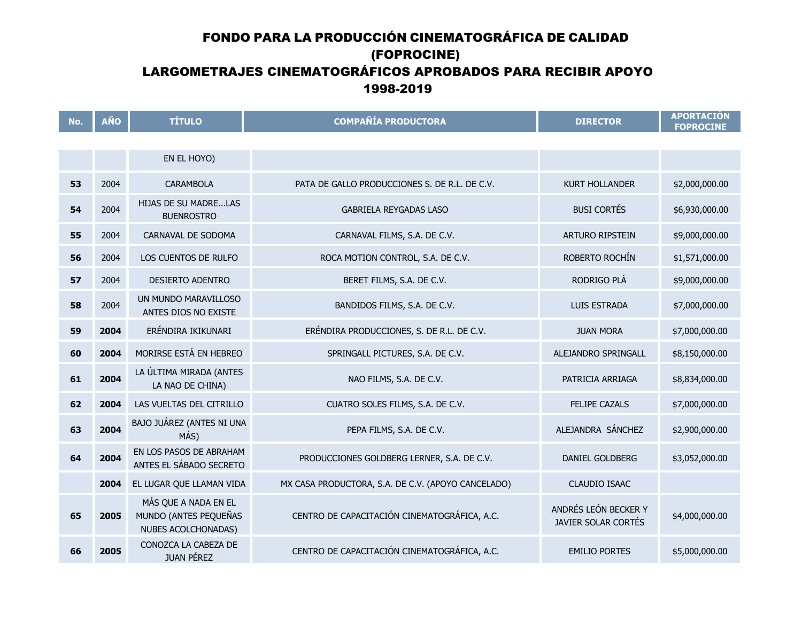| No. | <b>AÑO</b> | <b>TÍTULO</b>                                                        | <b>COMPAÑÍA PRODUCTORA</b>                         | <b>DIRECTOR</b>                             | <b>APORTACIÓN</b><br><b>FOPROCINE</b> |
|-----|------------|----------------------------------------------------------------------|----------------------------------------------------|---------------------------------------------|---------------------------------------|
|     |            |                                                                      |                                                    |                                             |                                       |
|     |            | EN EL HOYO)                                                          |                                                    |                                             |                                       |
| 53  | 2004       | <b>CARAMBOLA</b>                                                     | PATA DE GALLO PRODUCCIONES S. DE R.L. DE C.V.      | <b>KURT HOLLANDER</b>                       | \$2,000,000.00                        |
| 54  | 2004       | HIJAS DE SU MADRELAS<br><b>BUENROSTRO</b>                            | <b>GABRIELA REYGADAS LASO</b>                      | <b>BUSI CORTÉS</b>                          | \$6,930,000.00                        |
| 55  | 2004       | CARNAVAL DE SODOMA                                                   | CARNAVAL FILMS, S.A. DE C.V.                       | <b>ARTURO RIPSTEIN</b>                      | \$9,000,000.00                        |
| 56  | 2004       | LOS CUENTOS DE RULFO                                                 | ROCA MOTION CONTROL, S.A. DE C.V.                  | ROBERTO ROCHÍN                              | \$1,571,000.00                        |
| 57  | 2004       | DESIERTO ADENTRO                                                     | BERET FILMS, S.A. DE C.V.                          | RODRIGO PLÁ                                 | \$9,000,000.00                        |
| 58  | 2004       | UN MUNDO MARAVILLOSO<br>ANTES DIOS NO EXISTE                         | BANDIDOS FILMS, S.A. DE C.V.                       | LUIS ESTRADA                                | \$7,000,000.00                        |
| 59  | 2004       | ERÉNDIRA IKIKUNARI                                                   | ERÉNDIRA PRODUCCIONES, S. DE R.L. DE C.V.          | <b>JUAN MORA</b>                            | \$7,000,000.00                        |
| 60  | 2004       | MORIRSE ESTÁ EN HEBREO                                               | SPRINGALL PICTURES, S.A. DE C.V.                   | ALEJANDRO SPRINGALL                         | \$8,150,000.00                        |
| 61  | 2004       | LA ÚLTIMA MIRADA (ANTES<br>LA NAO DE CHINA)                          | NAO FILMS, S.A. DE C.V.                            | PATRICIA ARRIAGA                            | \$8,834,000.00                        |
| 62  | 2004       | LAS VUELTAS DEL CITRILLO                                             | CUATRO SOLES FILMS, S.A. DE C.V.                   | <b>FELIPE CAZALS</b>                        | \$7,000,000.00                        |
| 63  | 2004       | BAJO JUÁREZ (ANTES NI UNA<br>MÁS)                                    | PEPA FILMS, S.A. DE C.V.                           | ALEJANDRA SÁNCHEZ                           | \$2,900,000.00                        |
| 64  | 2004       | EN LOS PASOS DE ABRAHAM<br>ANTES EL SÁBADO SECRETO                   | PRODUCCIONES GOLDBERG LERNER, S.A. DE C.V.         | DANIEL GOLDBERG                             | \$3,052,000.00                        |
|     | 2004       | EL LUGAR QUE LLAMAN VIDA                                             | MX CASA PRODUCTORA, S.A. DE C.V. (APOYO CANCELADO) | <b>CLAUDIO ISAAC</b>                        |                                       |
| 65  | 2005       | MÁS QUE A NADA EN EL<br>MUNDO (ANTES PEQUEÑAS<br>NUBES ACOLCHONADAS) | CENTRO DE CAPACITACIÓN CINEMATOGRÁFICA, A.C.       | ANDRÉS LEÓN BECKER Y<br>JAVIER SOLAR CORTÉS | \$4,000,000.00                        |
| 66  | 2005       | CONOZCA LA CABEZA DE<br><b>JUAN PÉREZ</b>                            | CENTRO DE CAPACITACIÓN CINEMATOGRÁFICA, A.C.       | <b>EMILIO PORTES</b>                        | \$5,000,000.00                        |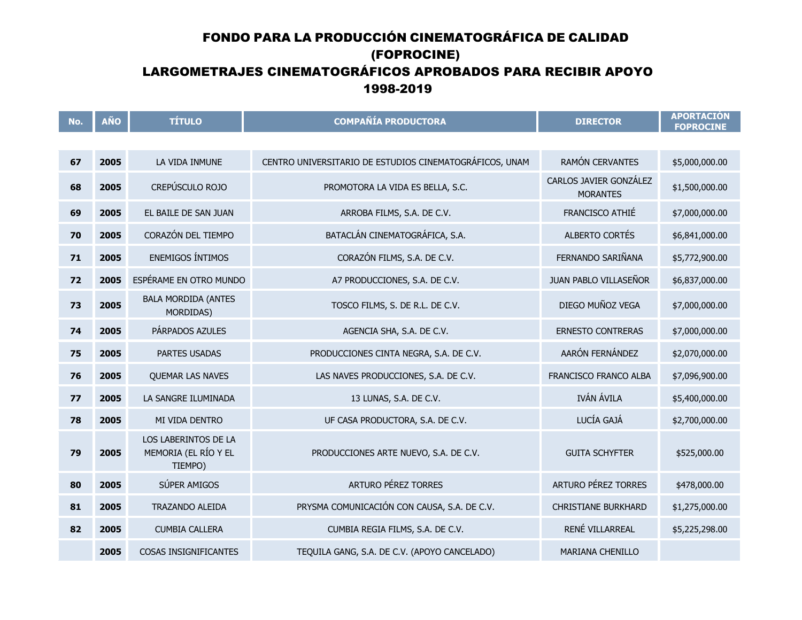| No. | <b>AÑO</b> | <b>TÍTULO</b>                                           | <b>COMPAÑÍA PRODUCTORA</b>                              | <b>DIRECTOR</b>                           | <b>APORTACIÓN</b><br><b>FOPROCINE</b> |
|-----|------------|---------------------------------------------------------|---------------------------------------------------------|-------------------------------------------|---------------------------------------|
|     |            |                                                         |                                                         |                                           |                                       |
| 67  | 2005       | LA VIDA INMUNE                                          | CENTRO UNIVERSITARIO DE ESTUDIOS CINEMATOGRÁFICOS, UNAM | <b>RAMÓN CERVANTES</b>                    | \$5,000,000.00                        |
| 68  | 2005       | CREPÚSCULO ROJO                                         | PROMOTORA LA VIDA ES BELLA, S.C.                        | CARLOS JAVIER GONZÁLEZ<br><b>MORANTES</b> | \$1,500,000.00                        |
| 69  | 2005       | EL BAILE DE SAN JUAN                                    | ARROBA FILMS, S.A. DE C.V.                              | FRANCISCO ATHIÉ                           | \$7,000,000.00                        |
| 70  | 2005       | CORAZÓN DEL TIEMPO                                      | BATACLÁN CINEMATOGRÁFICA, S.A.                          | ALBERTO CORTÉS                            | \$6,841,000.00                        |
| 71  | 2005       | ENEMIGOS ÍNTIMOS                                        | CORAZÓN FILMS, S.A. DE C.V.                             | FERNANDO SARIÑANA                         | \$5,772,900.00                        |
| 72  | 2005       | ESPÉRAME EN OTRO MUNDO                                  | A7 PRODUCCIONES, S.A. DE C.V.                           | JUAN PABLO VILLASEÑOR                     | \$6,837,000.00                        |
| 73  | 2005       | <b>BALA MORDIDA (ANTES</b><br>MORDIDAS)                 | TOSCO FILMS, S. DE R.L. DE C.V.                         | DIEGO MUÑOZ VEGA                          | \$7,000,000.00                        |
| 74  | 2005       | PÁRPADOS AZULES                                         | AGENCIA SHA, S.A. DE C.V.                               | <b>ERNESTO CONTRERAS</b>                  | \$7,000,000.00                        |
| 75  | 2005       | PARTES USADAS                                           | PRODUCCIONES CINTA NEGRA, S.A. DE C.V.                  | AARÓN FERNÁNDEZ                           | \$2,070,000.00                        |
| 76  | 2005       | <b>QUEMAR LAS NAVES</b>                                 | LAS NAVES PRODUCCIONES, S.A. DE C.V.                    | FRANCISCO FRANCO ALBA                     | \$7,096,900.00                        |
| 77  | 2005       | LA SANGRE ILUMINADA                                     | 13 LUNAS, S.A. DE C.V.                                  | IVÁN ÁVILA                                | \$5,400,000.00                        |
| 78  | 2005       | MI VIDA DENTRO                                          | UF CASA PRODUCTORA, S.A. DE C.V.                        | LUCÍA GAJÁ                                | \$2,700,000.00                        |
| 79  | 2005       | LOS LABERINTOS DE LA<br>MEMORIA (EL RÍO Y EL<br>TIEMPO) | PRODUCCIONES ARTE NUEVO, S.A. DE C.V.                   | <b>GUITA SCHYFTER</b>                     | \$525,000.00                          |
| 80  | 2005       | SÚPER AMIGOS                                            | ARTURO PÉREZ TORRES                                     | ARTURO PÉREZ TORRES                       | \$478,000.00                          |
| 81  | 2005       | TRAZANDO ALEIDA                                         | PRYSMA COMUNICACIÓN CON CAUSA, S.A. DE C.V.             | <b>CHRISTIANE BURKHARD</b>                | \$1,275,000.00                        |
| 82  | 2005       | <b>CUMBIA CALLERA</b>                                   | CUMBIA REGIA FILMS, S.A. DE C.V.                        | RENÉ VILLARREAL                           | \$5,225,298.00                        |
|     | 2005       | COSAS INSIGNIFICANTES                                   | TEQUILA GANG, S.A. DE C.V. (APOYO CANCELADO)            | <b>MARIANA CHENILLO</b>                   |                                       |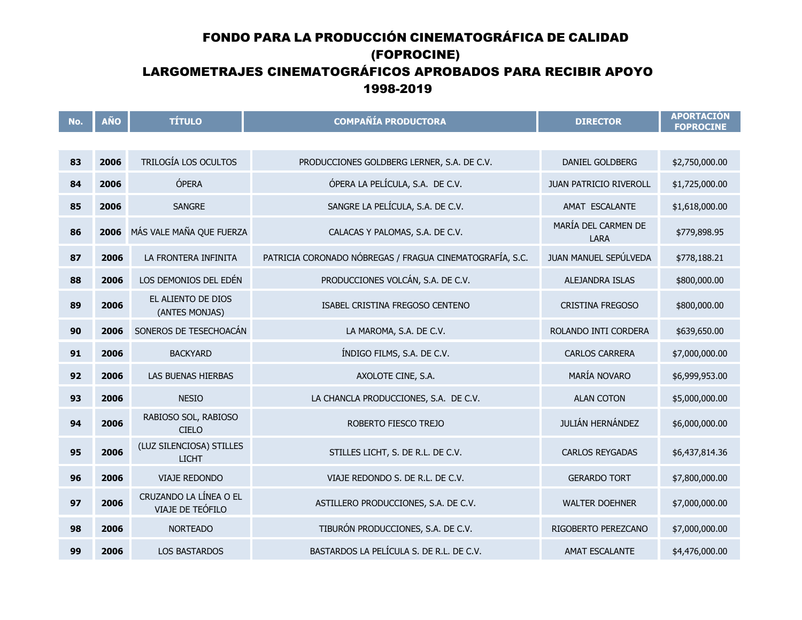| No. | <b>AÑO</b> | <b>TÍTULO</b>                              | <b>COMPAÑÍA PRODUCTORA</b>                               | <b>DIRECTOR</b>                    | <b>APORTACIÓN</b><br><b>FOPROCINE</b> |
|-----|------------|--------------------------------------------|----------------------------------------------------------|------------------------------------|---------------------------------------|
|     |            |                                            |                                                          |                                    |                                       |
| 83  | 2006       | <b>TRILOGÍA LOS OCULTOS</b>                | PRODUCCIONES GOLDBERG LERNER, S.A. DE C.V.               | <b>DANIEL GOLDBERG</b>             | \$2,750,000.00                        |
| 84  | 2006       | ÓPERA                                      | ÓPERA LA PELÍCULA, S.A. DE C.V.                          | JUAN PATRICIO RIVEROLL             | \$1,725,000.00                        |
| 85  | 2006       | <b>SANGRE</b>                              | SANGRE LA PELÍCULA, S.A. DE C.V.                         | AMAT ESCALANTE                     | \$1,618,000.00                        |
| 86  | 2006       | MÁS VALE MAÑA QUE FUERZA                   | CALACAS Y PALOMAS, S.A. DE C.V.                          | MARÍA DEL CARMEN DE<br><b>LARA</b> | \$779,898.95                          |
| 87  | 2006       | LA FRONTERA INFINITA                       | PATRICIA CORONADO NÓBREGAS / FRAGUA CINEMATOGRAFÍA, S.C. | JUAN MANUEL SEPÚLVEDA              | \$778,188.21                          |
| 88  | 2006       | LOS DEMONIOS DEL EDÉN                      | PRODUCCIONES VOLCÁN, S.A. DE C.V.                        | ALEJANDRA ISLAS                    | \$800,000.00                          |
| 89  | 2006       | EL ALIENTO DE DIOS<br>(ANTES MONJAS)       | ISABEL CRISTINA FREGOSO CENTENO                          | <b>CRISTINA FREGOSO</b>            | \$800,000.00                          |
| 90  | 2006       | SONEROS DE TESECHOACÁN                     | LA MAROMA, S.A. DE C.V.                                  | ROLANDO INTI CORDERA               | \$639,650.00                          |
| 91  | 2006       | <b>BACKYARD</b>                            | ÍNDIGO FILMS, S.A. DE C.V.                               | <b>CARLOS CARRERA</b>              | \$7,000,000.00                        |
| 92  | 2006       | <b>LAS BUENAS HIERBAS</b>                  | AXOLOTE CINE, S.A.                                       | MARÍA NOVARO                       | \$6,999,953.00                        |
| 93  | 2006       | <b>NESIO</b>                               | LA CHANCLA PRODUCCIONES, S.A. DE C.V.                    | <b>ALAN COTON</b>                  | \$5,000,000.00                        |
| 94  | 2006       | RABIOSO SOL, RABIOSO<br><b>CIELO</b>       | ROBERTO FIESCO TREJO                                     | JULIÁN HERNÁNDEZ                   | \$6,000,000.00                        |
| 95  | 2006       | (LUZ SILENCIOSA) STILLES<br><b>LICHT</b>   | STILLES LICHT, S. DE R.L. DE C.V.                        | <b>CARLOS REYGADAS</b>             | \$6,437,814.36                        |
| 96  | 2006       | <b>VIAJE REDONDO</b>                       | VIAJE REDONDO S. DE R.L. DE C.V.                         | <b>GERARDO TORT</b>                | \$7,800,000.00                        |
| 97  | 2006       | CRUZANDO LA LÍNEA O EL<br>VIAJE DE TEÓFILO | ASTILLERO PRODUCCIONES, S.A. DE C.V.                     | <b>WALTER DOEHNER</b>              | \$7,000,000.00                        |
| 98  | 2006       | <b>NORTEADO</b>                            | TIBURÓN PRODUCCIONES, S.A. DE C.V.                       | RIGOBERTO PEREZCANO                | \$7,000,000.00                        |
| 99  | 2006       | <b>LOS BASTARDOS</b>                       | BASTARDOS LA PELÍCULA S. DE R.L. DE C.V.                 | <b>AMAT ESCALANTE</b>              | \$4,476,000.00                        |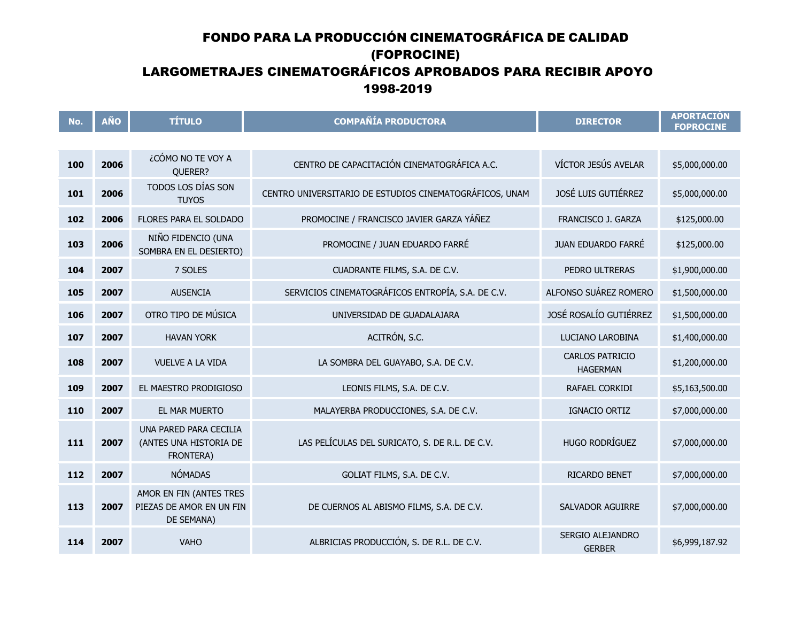| No. | <b>AÑO</b> | <b>TÍTULO</b>                                                     | <b>COMPAÑÍA PRODUCTORA</b>                              | <b>DIRECTOR</b>                    | <b>APORTACIÓN</b><br><b>FOPROCINE</b> |
|-----|------------|-------------------------------------------------------------------|---------------------------------------------------------|------------------------------------|---------------------------------------|
|     |            |                                                                   |                                                         |                                    |                                       |
| 100 | 2006       | ¿CÓMO NO TE VOY A<br>QUERER?                                      | CENTRO DE CAPACITACIÓN CINEMATOGRÁFICA A.C.             | VÍCTOR JESÚS AVELAR                | \$5,000,000.00                        |
| 101 | 2006       | TODOS LOS DÍAS SON<br><b>TUYOS</b>                                | CENTRO UNIVERSITARIO DE ESTUDIOS CINEMATOGRÁFICOS, UNAM | JOSÉ LUIS GUTIÉRREZ                | \$5,000,000.00                        |
| 102 | 2006       | FLORES PARA EL SOLDADO                                            | PROMOCINE / FRANCISCO JAVIER GARZA YÁÑEZ                | FRANCISCO J. GARZA                 | \$125,000.00                          |
| 103 | 2006       | NIÑO FIDENCIO (UNA<br>SOMBRA EN EL DESIERTO)                      | PROMOCINE / JUAN EDUARDO FARRÉ                          | JUAN EDUARDO FARRÉ                 | \$125,000.00                          |
| 104 | 2007       | 7 SOLES                                                           | CUADRANTE FILMS, S.A. DE C.V.                           | PEDRO ULTRERAS                     | \$1,900,000.00                        |
| 105 | 2007       | <b>AUSENCIA</b>                                                   | SERVICIOS CINEMATOGRÁFICOS ENTROPÍA, S.A. DE C.V.       | ALFONSO SUÁREZ ROMERO              | \$1,500,000.00                        |
| 106 | 2007       | OTRO TIPO DE MÚSICA                                               | UNIVERSIDAD DE GUADALAJARA                              | JOSÉ ROSALÍO GUTIÉRREZ             | \$1,500,000.00                        |
| 107 | 2007       | <b>HAVAN YORK</b>                                                 | ACITRÓN, S.C.                                           | LUCIANO LAROBINA                   | \$1,400,000.00                        |
| 108 | 2007       | VUELVE A LA VIDA                                                  | LA SOMBRA DEL GUAYABO, S.A. DE C.V.                     | CARLOS PATRICIO<br><b>HAGERMAN</b> | \$1,200,000.00                        |
| 109 | 2007       | EL MAESTRO PRODIGIOSO                                             | LEONIS FILMS, S.A. DE C.V.                              | RAFAEL CORKIDI                     | \$5,163,500.00                        |
| 110 | 2007       | EL MAR MUERTO                                                     | MALAYERBA PRODUCCIONES, S.A. DE C.V.                    | IGNACIO ORTIZ                      | \$7,000,000.00                        |
| 111 | 2007       | UNA PARED PARA CECILIA<br>(ANTES UNA HISTORIA DE<br>FRONTERA)     | LAS PELÍCULAS DEL SURICATO, S. DE R.L. DE C.V.          | <b>HUGO RODRÍGUEZ</b>              | \$7,000,000.00                        |
| 112 | 2007       | <b>NÓMADAS</b>                                                    | GOLIAT FILMS, S.A. DE C.V.                              | RICARDO BENET                      | \$7,000,000.00                        |
| 113 | 2007       | AMOR EN FIN (ANTES TRES<br>PIEZAS DE AMOR EN UN FIN<br>DE SEMANA) | DE CUERNOS AL ABISMO FILMS, S.A. DE C.V.                | <b>SALVADOR AGUIRRE</b>            | \$7,000,000.00                        |
| 114 | 2007       | <b>VAHO</b>                                                       | ALBRICIAS PRODUCCIÓN, S. DE R.L. DE C.V.                | SERGIO ALEJANDRO<br><b>GERBER</b>  | \$6,999,187.92                        |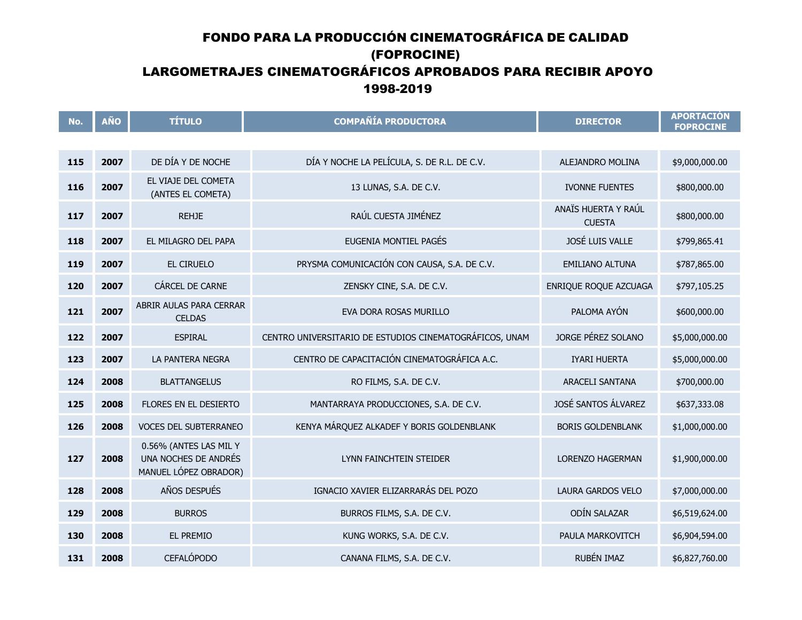| No. | <b>AÑO</b> | <b>TÍTULO</b>                                                                                      | <b>COMPAÑÍA PRODUCTORA</b>                              | <b>DIRECTOR</b>                      | <b>APORTACIÓN</b><br><b>FOPROCINE</b> |
|-----|------------|----------------------------------------------------------------------------------------------------|---------------------------------------------------------|--------------------------------------|---------------------------------------|
|     |            |                                                                                                    |                                                         |                                      |                                       |
| 115 | 2007       | DE DÍA Y DE NOCHE                                                                                  | DÍA Y NOCHE LA PELÍCULA, S. DE R.L. DE C.V.             | ALEJANDRO MOLINA                     | \$9,000,000.00                        |
| 116 | 2007       | EL VIAJE DEL COMETA<br>(ANTES EL COMETA)                                                           | 13 LUNAS, S.A. DE C.V.                                  | <b>IVONNE FUENTES</b>                | \$800,000.00                          |
| 117 | 2007       | <b>REHJE</b>                                                                                       | RAÚL CUESTA JIMÉNEZ                                     | ANAÏS HUERTA Y RAÚL<br><b>CUESTA</b> | \$800,000.00                          |
| 118 | 2007       | EL MILAGRO DEL PAPA                                                                                | EUGENIA MONTIEL PAGÉS                                   | JOSÉ LUIS VALLE                      | \$799,865.41                          |
| 119 | 2007       | EL CIRUELO                                                                                         | PRYSMA COMUNICACIÓN CON CAUSA, S.A. DE C.V.             | EMILIANO ALTUNA                      | \$787,865.00                          |
| 120 | 2007       | CÁRCEL DE CARNE                                                                                    | ZENSKY CINE, S.A. DE C.V.                               | ENRIQUE ROQUE AZCUAGA                | \$797,105.25                          |
| 121 | 2007       | ABRIR AULAS PARA CERRAR<br><b>CELDAS</b>                                                           | EVA DORA ROSAS MURILLO                                  | PALOMA AYÓN                          | \$600,000.00                          |
| 122 | 2007       | <b>ESPIRAL</b>                                                                                     | CENTRO UNIVERSITARIO DE ESTUDIOS CINEMATOGRÁFICOS, UNAM | JORGE PÉREZ SOLANO                   | \$5,000,000.00                        |
| 123 | 2007       | LA PANTERA NEGRA                                                                                   | CENTRO DE CAPACITACIÓN CINEMATOGRÁFICA A.C.             | IYARI HUERTA                         | \$5,000,000.00                        |
| 124 | 2008       | <b>BLATTANGELUS</b>                                                                                | RO FILMS, S.A. DE C.V.                                  | ARACELI SANTANA                      | \$700,000.00                          |
| 125 | 2008       | FLORES EN EL DESIERTO                                                                              | MANTARRAYA PRODUCCIONES, S.A. DE C.V.                   | JOSÉ SANTOS ÁLVAREZ                  | \$637,333.08                          |
| 126 | 2008       | <b>VOCES DEL SUBTERRANEO</b>                                                                       | KENYA MÁRQUEZ ALKADEF Y BORIS GOLDENBLANK               | <b>BORIS GOLDENBLANK</b>             | \$1,000,000.00                        |
| 127 | 2008       | 0.56% (ANTES LAS MIL Y<br>UNA NOCHES DE ANDRÉS<br>LYNN FAINCHTEIN STEIDER<br>MANUEL LÓPEZ OBRADOR) | LORENZO HAGERMAN                                        | \$1,900,000.00                       |                                       |
| 128 | 2008       | AÑOS DESPUÉS                                                                                       | IGNACIO XAVIER ELIZARRARÁS DEL POZO                     | <b>LAURA GARDOS VELO</b>             | \$7,000,000.00                        |
| 129 | 2008       | <b>BURROS</b>                                                                                      | BURROS FILMS, S.A. DE C.V.                              | ODÍN SALAZAR                         | \$6,519,624.00                        |
| 130 | 2008       | EL PREMIO                                                                                          | KUNG WORKS, S.A. DE C.V.                                | PAULA MARKOVITCH                     | \$6,904,594.00                        |
| 131 | 2008       | <b>CEFALÓPODO</b>                                                                                  | CANANA FILMS, S.A. DE C.V.                              | RUBÉN IMAZ                           | \$6,827,760.00                        |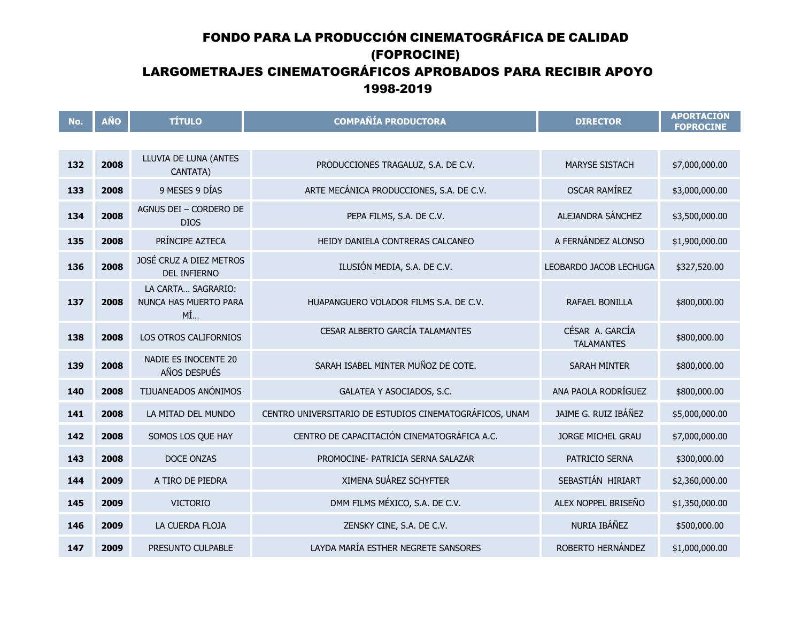| No. | <b>AÑO</b> | <b>TÍTULO</b>                                     | <b>COMPAÑÍA PRODUCTORA</b>                              | <b>DIRECTOR</b>                      | <b>APORTACIÓN</b><br><b>FOPROCINE</b> |
|-----|------------|---------------------------------------------------|---------------------------------------------------------|--------------------------------------|---------------------------------------|
|     |            |                                                   |                                                         |                                      |                                       |
| 132 | 2008       | LLUVIA DE LUNA (ANTES<br>CANTATA)                 | PRODUCCIONES TRAGALUZ, S.A. DE C.V.                     | MARYSE SISTACH                       | \$7,000,000.00                        |
| 133 | 2008       | 9 MESES 9 DÍAS                                    | ARTE MECÁNICA PRODUCCIONES, S.A. DE C.V.                | <b>OSCAR RAMÍREZ</b>                 | \$3,000,000.00                        |
| 134 | 2008       | AGNUS DEI - CORDERO DE<br><b>DIOS</b>             | PEPA FILMS, S.A. DE C.V.                                | ALEJANDRA SÁNCHEZ                    | \$3,500,000.00                        |
| 135 | 2008       | PRÍNCIPE AZTECA                                   | HEIDY DANIELA CONTRERAS CALCANEO                        | A FERNÁNDEZ ALONSO                   | \$1,900,000.00                        |
| 136 | 2008       | JOSÉ CRUZ A DIEZ METROS<br>DEL INFIERNO           | ILUSIÓN MEDIA, S.A. DE C.V.                             | LEOBARDO JACOB LECHUGA               | \$327,520.00                          |
| 137 | 2008       | LA CARTA SAGRARIO:<br>NUNCA HAS MUERTO PARA<br>MÍ | HUAPANGUERO VOLADOR FILMS S.A. DE C.V.                  | RAFAEL BONILLA                       | \$800,000.00                          |
| 138 | 2008       | LOS OTROS CALIFORNIOS                             | CESAR ALBERTO GARCÍA TALAMANTES                         | CÉSAR A. GARCÍA<br><b>TALAMANTES</b> | \$800,000.00                          |
| 139 | 2008       | NADIE ES INOCENTE 20<br>AÑOS DESPUÉS              | SARAH ISABEL MINTER MUÑOZ DE COTE.                      | <b>SARAH MINTER</b>                  | \$800,000.00                          |
| 140 | 2008       | TIJUANEADOS ANÓNIMOS                              | GALATEA Y ASOCIADOS, S.C.                               | ANA PAOLA RODRÍGUEZ                  | \$800,000.00                          |
| 141 | 2008       | LA MITAD DEL MUNDO                                | CENTRO UNIVERSITARIO DE ESTUDIOS CINEMATOGRÁFICOS, UNAM | JAIME G. RUIZ IBÁÑEZ                 | \$5,000,000.00                        |
| 142 | 2008       | SOMOS LOS QUE HAY                                 | CENTRO DE CAPACITACIÓN CINEMATOGRÁFICA A.C.             | JORGE MICHEL GRAU                    | \$7,000,000.00                        |
| 143 | 2008       | DOCE ONZAS                                        | PROMOCINE- PATRICIA SERNA SALAZAR                       | PATRICIO SERNA                       | \$300,000.00                          |
| 144 | 2009       | A TIRO DE PIEDRA                                  | XIMENA SUÁREZ SCHYFTER                                  | SEBASTIÁN HIRIART                    | \$2,360,000.00                        |
| 145 | 2009       | <b>VICTORIO</b>                                   | DMM FILMS MÉXICO, S.A. DE C.V.                          | ALEX NOPPEL BRISEÑO                  | \$1,350,000.00                        |
| 146 | 2009       | LA CUERDA FLOJA                                   | ZENSKY CINE, S.A. DE C.V.                               | NURIA IBÁÑEZ                         | \$500,000.00                          |
| 147 | 2009       | PRESUNTO CULPABLE                                 | LAYDA MARÍA ESTHER NEGRETE SANSORES                     | ROBERTO HERNÁNDEZ                    | \$1,000,000.00                        |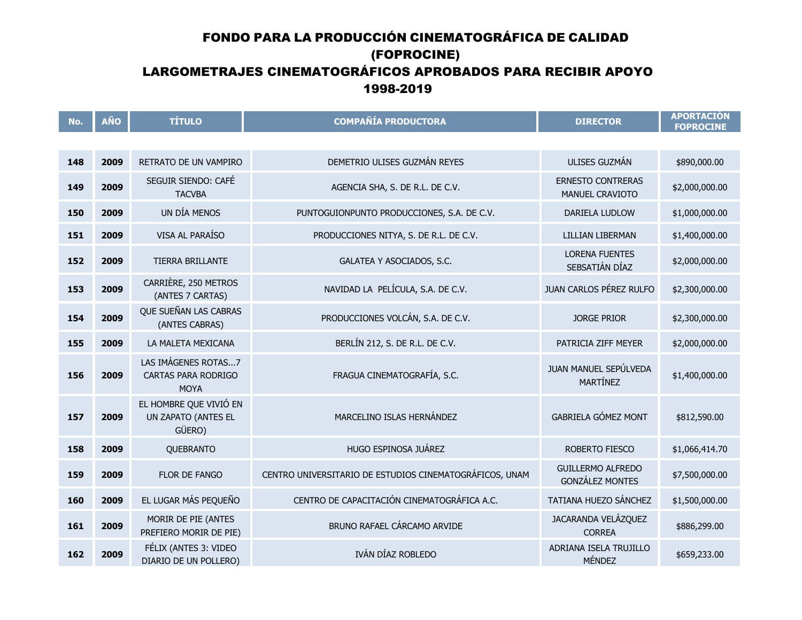| No. | <b>AÑO</b> | <b>TÍTULO</b>                                             | <b>COMPAÑÍA PRODUCTORA</b>                              | <b>DIRECTOR</b>                                    | <b>APORTACIÓN</b><br><b>FOPROCINE</b> |
|-----|------------|-----------------------------------------------------------|---------------------------------------------------------|----------------------------------------------------|---------------------------------------|
|     |            |                                                           |                                                         |                                                    |                                       |
| 148 | 2009       | RETRATO DE UN VAMPIRO                                     | DEMETRIO ULISES GUZMÁN REYES                            | ULISES GUZMÁN                                      | \$890,000.00                          |
| 149 | 2009       | SEGUIR SIENDO: CAFÉ<br><b>TACVBA</b>                      | AGENCIA SHA, S. DE R.L. DE C.V.                         | <b>ERNESTO CONTRERAS</b><br>MANUEL CRAVIOTO        | \$2,000,000.00                        |
| 150 | 2009       | UN DÍA MENOS                                              | PUNTOGUIONPUNTO PRODUCCIONES, S.A. DE C.V.              | DARIELA LUDLOW                                     | \$1,000,000.00                        |
| 151 | 2009       | VISA AL PARAÍSO                                           | PRODUCCIONES NITYA, S. DE R.L. DE C.V.                  | <b>LILLIAN LIBERMAN</b>                            | \$1,400,000.00                        |
| 152 | 2009       | TIERRA BRILLANTE                                          | GALATEA Y ASOCIADOS, S.C.                               | <b>LORENA FUENTES</b><br>SEBSATIÁN DÍAZ            | \$2,000,000.00                        |
| 153 | 2009       | CARRIÈRE, 250 METROS<br>(ANTES 7 CARTAS)                  | NAVIDAD LA PELÍCULA, S.A. DE C.V.                       | JUAN CARLOS PÉREZ RULFO                            | \$2,300,000.00                        |
| 154 | 2009       | QUE SUEÑAN LAS CABRAS<br>(ANTES CABRAS)                   | PRODUCCIONES VOLCÁN, S.A. DE C.V.                       | <b>JORGE PRIOR</b>                                 | \$2,300,000.00                        |
| 155 | 2009       | LA MALETA MEXICANA                                        | BERLÍN 212, S. DE R.L. DE C.V.                          | PATRICIA ZIFF MEYER                                | \$2,000,000.00                        |
| 156 | 2009       | LAS IMÁGENES ROTAS7<br>CARTAS PARA RODRIGO<br><b>MOYA</b> | FRAGUA CINEMATOGRAFÍA, S.C.                             | JUAN MANUEL SEPÚLVEDA<br>MARTÍNEZ                  | \$1,400,000.00                        |
| 157 | 2009       | EL HOMBRE QUE VIVIÓ EN<br>UN ZAPATO (ANTES EL<br>GÜERO)   | MARCELINO ISLAS HERNÁNDEZ                               | <b>GABRIELA GÓMEZ MONT</b>                         | \$812,590.00                          |
| 158 | 2009       | QUEBRANTO                                                 | HUGO ESPINOSA JUÁREZ                                    | ROBERTO FIESCO                                     | \$1,066,414.70                        |
| 159 | 2009       | FLOR DE FANGO                                             | CENTRO UNIVERSITARIO DE ESTUDIOS CINEMATOGRÁFICOS, UNAM | <b>GUILLERMO ALFREDO</b><br><b>GONZÁLEZ MONTES</b> | \$7,500,000.00                        |
| 160 | 2009       | EL LUGAR MÁS PEQUEÑO                                      | CENTRO DE CAPACITACIÓN CINEMATOGRÁFICA A.C.             | TATIANA HUEZO SÁNCHEZ                              | \$1,500,000.00                        |
| 161 | 2009       | MORIR DE PIE (ANTES<br>PREFIERO MORIR DE PIE)             | BRUNO RAFAEL CÁRCAMO ARVIDE                             | JACARANDA VELÁZQUEZ<br><b>CORREA</b>               | \$886,299.00                          |
| 162 | 2009       | FÉLIX (ANTES 3: VIDEO<br>DIARIO DE UN POLLERO)            | IVÁN DÍAZ ROBLEDO                                       | ADRIANA ISELA TRUJILLO<br>MÉNDEZ                   | \$659,233.00                          |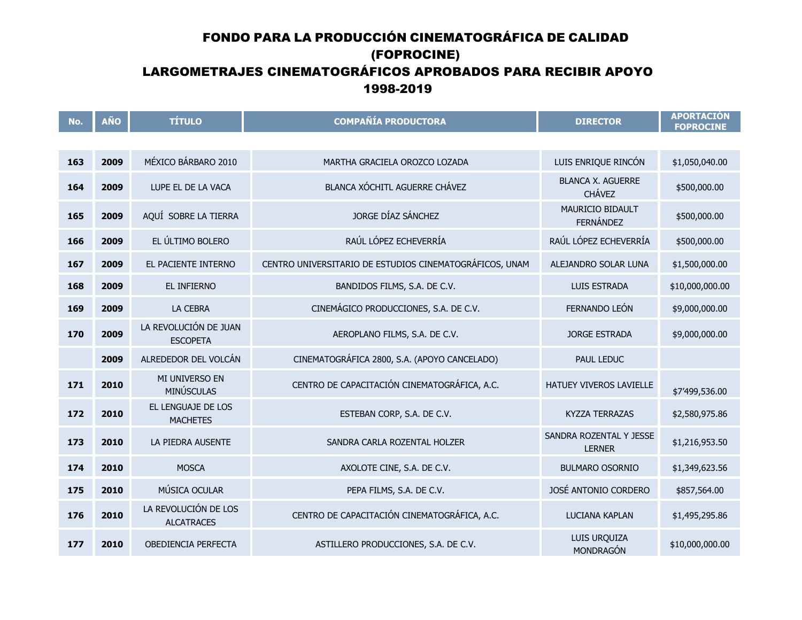| No. | <b>AÑO</b> | <b>TÍTULO</b>                             | <b>COMPAÑÍA PRODUCTORA</b>                              | <b>DIRECTOR</b>                           | <b>APORTACIÓN</b><br><b>FOPROCINE</b> |
|-----|------------|-------------------------------------------|---------------------------------------------------------|-------------------------------------------|---------------------------------------|
|     |            |                                           |                                                         |                                           |                                       |
| 163 | 2009       | MÉXICO BÁRBARO 2010                       | MARTHA GRACIELA OROZCO LOZADA                           | LUIS ENRIQUE RINCÓN                       | \$1,050,040.00                        |
| 164 | 2009       | LUPE EL DE LA VACA                        | BLANCA XÓCHITL AGUERRE CHÁVEZ                           | <b>BLANCA X. AGUERRE</b><br><b>CHÁVEZ</b> | \$500,000.00                          |
| 165 | 2009       | AQUÍ SOBRE LA TIERRA                      | JORGE DÍAZ SÁNCHEZ                                      | MAURICIO BIDAULT<br>FERNÁNDEZ             | \$500,000.00                          |
| 166 | 2009       | EL ÚLTIMO BOLERO                          | RAÚL LÓPEZ ECHEVERRÍA                                   | RAÚL LÓPEZ ECHEVERRÍA                     | \$500,000.00                          |
| 167 | 2009       | EL PACIENTE INTERNO                       | CENTRO UNIVERSITARIO DE ESTUDIOS CINEMATOGRÁFICOS, UNAM | ALEJANDRO SOLAR LUNA                      | \$1,500,000.00                        |
| 168 | 2009       | EL INFIERNO                               | BANDIDOS FILMS, S.A. DE C.V.                            | LUIS ESTRADA                              | \$10,000,000.00                       |
| 169 | 2009       | LA CEBRA                                  | CINEMÁGICO PRODUCCIONES, S.A. DE C.V.                   | FERNANDO LEÓN                             | \$9,000,000.00                        |
| 170 | 2009       | LA REVOLUCIÓN DE JUAN<br><b>ESCOPETA</b>  | AEROPLANO FILMS, S.A. DE C.V.                           | <b>JORGE ESTRADA</b>                      | \$9,000,000.00                        |
|     | 2009       | ALREDEDOR DEL VOLCÁN                      | CINEMATOGRÁFICA 2800, S.A. (APOYO CANCELADO)            | PAUL LEDUC                                |                                       |
| 171 | 2010       | MI UNIVERSO EN<br><b>MINÚSCULAS</b>       | CENTRO DE CAPACITACIÓN CINEMATOGRÁFICA, A.C.            | HATUEY VIVEROS LAVIELLE                   | \$7'499,536.00                        |
| 172 | 2010       | EL LENGUAJE DE LOS<br><b>MACHETES</b>     | ESTEBAN CORP, S.A. DE C.V.                              | <b>KYZZA TERRAZAS</b>                     | \$2,580,975.86                        |
| 173 | 2010       | LA PIEDRA AUSENTE                         | SANDRA CARLA ROZENTAL HOLZER                            | SANDRA ROZENTAL Y JESSE<br><b>LERNER</b>  | \$1,216,953.50                        |
| 174 | 2010       | <b>MOSCA</b>                              | AXOLOTE CINE, S.A. DE C.V.                              | <b>BULMARO OSORNIO</b>                    | \$1,349,623.56                        |
| 175 | 2010       | MÚSICA OCULAR                             | PEPA FILMS, S.A. DE C.V.                                | JOSÉ ANTONIO CORDERO                      | \$857,564.00                          |
| 176 | 2010       | LA REVOLUCIÓN DE LOS<br><b>ALCATRACES</b> | CENTRO DE CAPACITACIÓN CINEMATOGRÁFICA, A.C.            | LUCIANA KAPLAN                            | \$1,495,295.86                        |
| 177 | 2010       | <b>OBEDIENCIA PERFECTA</b>                | ASTILLERO PRODUCCIONES, S.A. DE C.V.                    | LUIS URQUIZA<br>MONDRAGÓN                 | \$10,000,000.00                       |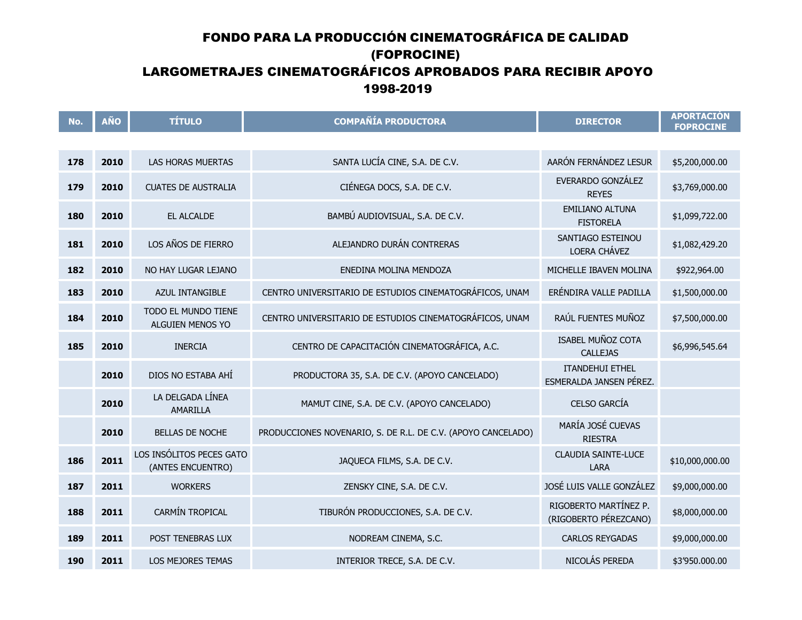| No. | <b>AÑO</b> | <b>TÍTULO</b>                                 | <b>COMPAÑÍA PRODUCTORA</b>                                   | <b>DIRECTOR</b>                                   | <b>APORTACIÓN</b><br><b>FOPROCINE</b> |
|-----|------------|-----------------------------------------------|--------------------------------------------------------------|---------------------------------------------------|---------------------------------------|
|     |            |                                               |                                                              |                                                   |                                       |
| 178 | 2010       | <b>LAS HORAS MUERTAS</b>                      | SANTA LUCÍA CINE, S.A. DE C.V.                               | AARÓN FERNÁNDEZ LESUR                             | \$5,200,000.00                        |
| 179 | 2010       | <b>CUATES DE AUSTRALIA</b>                    | CIÉNEGA DOCS, S.A. DE C.V.                                   | EVERARDO GONZÁLEZ<br><b>REYES</b>                 | \$3,769,000.00                        |
| 180 | 2010       | EL ALCALDE                                    | BAMBÚ AUDIOVISUAL, S.A. DE C.V.                              | <b>EMILIANO ALTUNA</b><br><b>FISTORELA</b>        | \$1,099,722.00                        |
| 181 | 2010       | LOS AÑOS DE FIERRO                            | ALEJANDRO DURÁN CONTRERAS                                    | SANTIAGO ESTEINOU<br>LOERA CHÁVEZ                 | \$1,082,429.20                        |
| 182 | 2010       | NO HAY LUGAR LEJANO                           | ENEDINA MOLINA MENDOZA                                       | MICHELLE IBAVEN MOLINA                            | \$922,964.00                          |
| 183 | 2010       | AZUL INTANGIBLE                               | CENTRO UNIVERSITARIO DE ESTUDIOS CINEMATOGRÁFICOS, UNAM      | ERÉNDIRA VALLE PADILLA                            | \$1,500,000.00                        |
| 184 | 2010       | TODO EL MUNDO TIENE<br>ALGUIEN MENOS YO       | CENTRO UNIVERSITARIO DE ESTUDIOS CINEMATOGRÁFICOS, UNAM      | RAÚL FUENTES MUÑOZ                                | \$7,500,000.00                        |
| 185 | 2010       | <b>INERCIA</b>                                | CENTRO DE CAPACITACIÓN CINEMATOGRÁFICA, A.C.                 | ISABEL MUÑOZ COTA<br><b>CALLEJAS</b>              | \$6,996,545.64                        |
|     | 2010       | DIOS NO ESTABA AHÍ                            | PRODUCTORA 35, S.A. DE C.V. (APOYO CANCELADO)                | <b>ITANDEHUI ETHEL</b><br>ESMERALDA JANSEN PÉREZ. |                                       |
|     | 2010       | LA DELGADA LÍNEA<br>AMARILLA                  | MAMUT CINE, S.A. DE C.V. (APOYO CANCELADO)                   | <b>CELSO GARCÍA</b>                               |                                       |
|     | 2010       | <b>BELLAS DE NOCHE</b>                        | PRODUCCIONES NOVENARIO, S. DE R.L. DE C.V. (APOYO CANCELADO) | MARÍA JOSÉ CUEVAS<br><b>RIESTRA</b>               |                                       |
| 186 | 2011       | LOS INSÓLITOS PECES GATO<br>(ANTES ENCUENTRO) | JAQUECA FILMS, S.A. DE C.V.                                  | <b>CLAUDIA SAINTE-LUCE</b><br><b>LARA</b>         | \$10,000,000.00                       |
| 187 | 2011       | <b>WORKERS</b>                                | ZENSKY CINE, S.A. DE C.V.                                    | JOSÉ LUIS VALLE GONZÁLEZ                          | \$9,000,000.00                        |
| 188 | 2011       | CARMÍN TROPICAL                               | TIBURÓN PRODUCCIONES, S.A. DE C.V.                           | RIGOBERTO MARTÍNEZ P.<br>(RIGOBERTO PÉREZCANO)    | \$8,000,000.00                        |
| 189 | 2011       | POST TENEBRAS LUX                             | NODREAM CINEMA, S.C.                                         | <b>CARLOS REYGADAS</b>                            | \$9,000,000.00                        |
| 190 | 2011       | <b>LOS MEJORES TEMAS</b>                      | INTERIOR TRECE, S.A. DE C.V.                                 | NICOLÁS PEREDA                                    | \$3'950.000.00                        |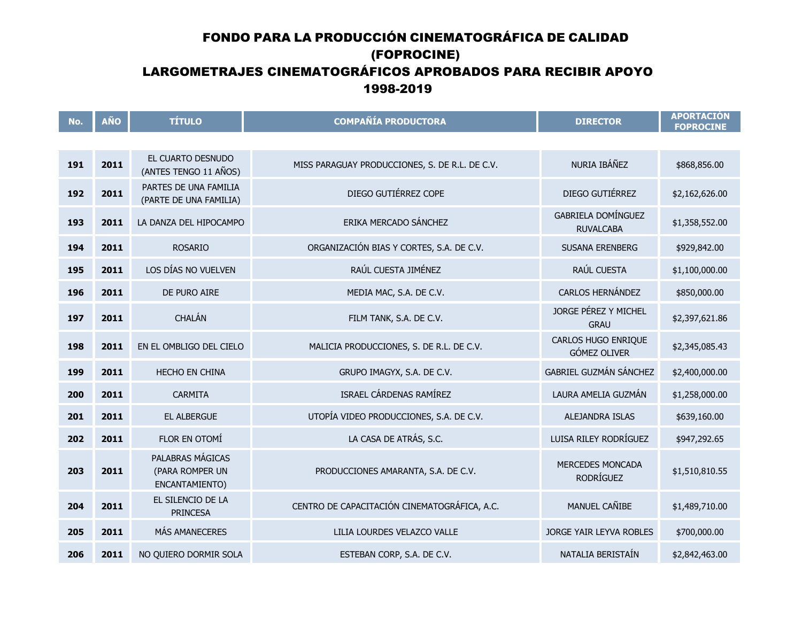| No. | <b>AÑO</b> | <b>TÍTULO</b>                                         | <b>COMPAÑÍA PRODUCTORA</b>                     | <b>DIRECTOR</b>                        | <b>APORTACIÓN</b><br><b>FOPROCINE</b> |
|-----|------------|-------------------------------------------------------|------------------------------------------------|----------------------------------------|---------------------------------------|
|     |            |                                                       |                                                |                                        |                                       |
| 191 | 2011       | EL CUARTO DESNUDO<br>(ANTES TENGO 11 AÑOS)            | MISS PARAGUAY PRODUCCIONES, S. DE R.L. DE C.V. | NURIA IBÁÑEZ                           | \$868,856.00                          |
| 192 | 2011       | PARTES DE UNA FAMILIA<br>(PARTE DE UNA FAMILIA)       | DIEGO GUTIÉRREZ COPE                           | DIEGO GUTIÉRREZ                        | \$2,162,626.00                        |
| 193 | 2011       | LA DANZA DEL HIPOCAMPO                                | ERIKA MERCADO SÁNCHEZ                          | GABRIELA DOMÍNGUEZ<br><b>RUVALCABA</b> | \$1,358,552.00                        |
| 194 | 2011       | <b>ROSARIO</b>                                        | ORGANIZACIÓN BIAS Y CORTES, S.A. DE C.V.       | <b>SUSANA ERENBERG</b>                 | \$929,842.00                          |
| 195 | 2011       | LOS DÍAS NO VUELVEN                                   | RAÚL CUESTA JIMÉNEZ                            | RAÚL CUESTA                            | \$1,100,000.00                        |
| 196 | 2011       | DE PURO AIRE                                          | MEDIA MAC, S.A. DE C.V.                        | CARLOS HERNÁNDEZ                       | \$850,000.00                          |
| 197 | 2011       | CHALÁN                                                | FILM TANK, S.A. DE C.V.                        | JORGE PÉREZ Y MICHEL<br><b>GRAU</b>    | \$2,397,621.86                        |
| 198 | 2011       | EN EL OMBLIGO DEL CIELO                               | MALICIA PRODUCCIONES, S. DE R.L. DE C.V.       | CARLOS HUGO ENRIQUE<br>GÓMEZ OLIVER    | \$2,345,085.43                        |
| 199 | 2011       | <b>HECHO EN CHINA</b>                                 | GRUPO IMAGYX, S.A. DE C.V.                     | GABRIEL GUZMÁN SÁNCHEZ                 | \$2,400,000.00                        |
| 200 | 2011       | <b>CARMITA</b>                                        | ISRAEL CÁRDENAS RAMÍREZ                        | LAURA AMELIA GUZMÁN                    | \$1,258,000.00                        |
| 201 | 2011       | EL ALBERGUE                                           | UTOPÍA VIDEO PRODUCCIONES, S.A. DE C.V.        | ALEJANDRA ISLAS                        | \$639,160.00                          |
| 202 | 2011       | FLOR EN OTOMÍ                                         | LA CASA DE ATRÁS, S.C.                         | LUISA RILEY RODRÍGUEZ                  | \$947,292.65                          |
| 203 | 2011       | PALABRAS MÁGICAS<br>(PARA ROMPER UN<br>ENCANTAMIENTO) | PRODUCCIONES AMARANTA, S.A. DE C.V.            | MERCEDES MONCADA<br><b>RODRÍGUEZ</b>   | \$1,510,810.55                        |
| 204 | 2011       | EL SILENCIO DE LA<br><b>PRINCESA</b>                  | CENTRO DE CAPACITACIÓN CINEMATOGRÁFICA, A.C.   | MANUEL CAÑIBE                          | \$1,489,710.00                        |
| 205 | 2011       | MÁS AMANECERES                                        | LILIA LOURDES VELAZCO VALLE                    | JORGE YAIR LEYVA ROBLES                | \$700,000.00                          |
| 206 | 2011       | NO QUIERO DORMIR SOLA                                 | ESTEBAN CORP, S.A. DE C.V.                     | NATALIA BERISTAÍN                      | \$2,842,463.00                        |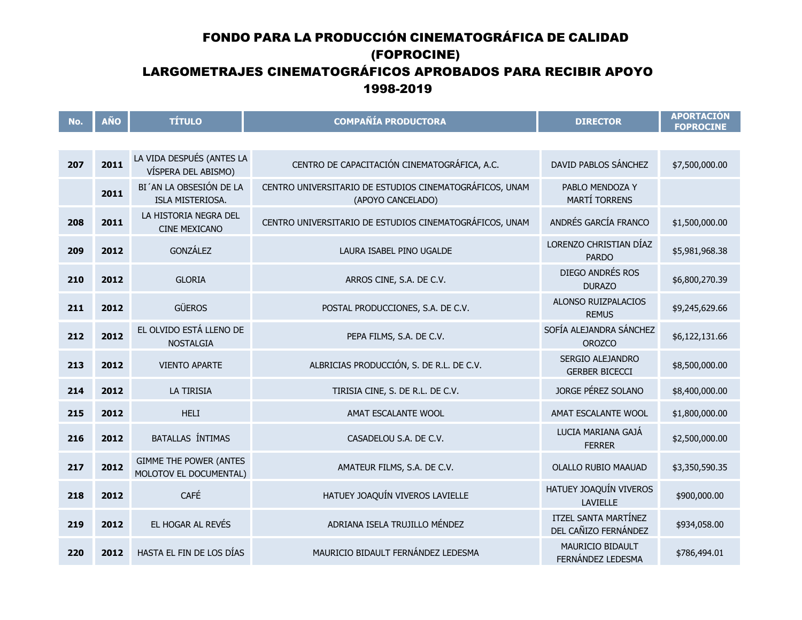| No. | <b>AÑO</b> | <b>TÍTULO</b>                                           | <b>COMPAÑÍA PRODUCTORA</b>                                                   | <b>DIRECTOR</b>                              | <b>APORTACIÓN</b><br><b>FOPROCINE</b> |
|-----|------------|---------------------------------------------------------|------------------------------------------------------------------------------|----------------------------------------------|---------------------------------------|
|     |            |                                                         |                                                                              |                                              |                                       |
| 207 | 2011       | LA VIDA DESPUÉS (ANTES LA<br>VÍSPERA DEL ABISMO)        | CENTRO DE CAPACITACIÓN CINEMATOGRÁFICA, A.C.                                 | DAVID PABLOS SÁNCHEZ                         | \$7,500,000.00                        |
|     | 2011       | BI'AN LA OBSESIÓN DE LA<br>ISLA MISTERIOSA.             | CENTRO UNIVERSITARIO DE ESTUDIOS CINEMATOGRÁFICOS, UNAM<br>(APOYO CANCELADO) | PABLO MENDOZA Y<br><b>MARTÍ TORRENS</b>      |                                       |
| 208 | 2011       | LA HISTORIA NEGRA DEL<br>CINE MEXICANO                  | CENTRO UNIVERSITARIO DE ESTUDIOS CINEMATOGRÁFICOS, UNAM                      | ANDRÉS GARCÍA FRANCO                         | \$1,500,000.00                        |
| 209 | 2012       | <b>GONZÁLEZ</b>                                         | LAURA ISABEL PINO UGALDE                                                     | LORENZO CHRISTIAN DÍAZ<br><b>PARDO</b>       | \$5,981,968.38                        |
| 210 | 2012       | <b>GLORIA</b>                                           | ARROS CINE, S.A. DE C.V.                                                     | DIEGO ANDRÉS ROS<br><b>DURAZO</b>            | \$6,800,270.39                        |
| 211 | 2012       | <b>GÜEROS</b>                                           | POSTAL PRODUCCIONES, S.A. DE C.V.                                            | ALONSO RUIZPALACIOS<br><b>REMUS</b>          | \$9,245,629.66                        |
| 212 | 2012       | EL OLVIDO ESTÁ LLENO DE<br><b>NOSTALGIA</b>             | PEPA FILMS, S.A. DE C.V.                                                     | SOFÍA ALEJANDRA SÁNCHEZ<br><b>OROZCO</b>     | \$6,122,131.66                        |
| 213 | 2012       | <b>VIENTO APARTE</b>                                    | ALBRICIAS PRODUCCIÓN, S. DE R.L. DE C.V.                                     | SERGIO ALEJANDRO<br><b>GERBER BICECCI</b>    | \$8,500,000.00                        |
| 214 | 2012       | <b>LA TIRISIA</b>                                       | TIRISIA CINE, S. DE R.L. DE C.V.                                             | JORGE PÉREZ SOLANO                           | \$8,400,000.00                        |
| 215 | 2012       | <b>HELI</b>                                             | AMAT ESCALANTE WOOL                                                          | AMAT ESCALANTE WOOL                          | \$1,800,000.00                        |
| 216 | 2012       | BATALLAS ÍNTIMAS                                        | CASADELOU S.A. DE C.V.                                                       | LUCIA MARIANA GAJÁ<br><b>FERRER</b>          | \$2,500,000.00                        |
| 217 | 2012       | <b>GIMME THE POWER (ANTES</b><br>MOLOTOV EL DOCUMENTAL) | AMATEUR FILMS, S.A. DE C.V.                                                  | OLALLO RUBIO MAAUAD                          | \$3,350,590.35                        |
| 218 | 2012       | CAFÉ                                                    | HATUEY JOAQUÍN VIVEROS LAVIELLE                                              | HATUEY JOAQUÍN VIVEROS<br>LAVIELLE           | \$900,000.00                          |
| 219 | 2012       | EL HOGAR AL REVÉS                                       | ADRIANA ISELA TRUJILLO MÉNDEZ                                                | ITZEL SANTA MARTÍNEZ<br>DEL CAÑIZO FERNÁNDEZ | \$934,058.00                          |
| 220 | 2012       | HASTA EL FIN DE LOS DÍAS                                | MAURICIO BIDAULT FERNÁNDEZ LEDESMA                                           | MAURICIO BIDAULT<br>FERNÁNDEZ LEDESMA        | \$786,494.01                          |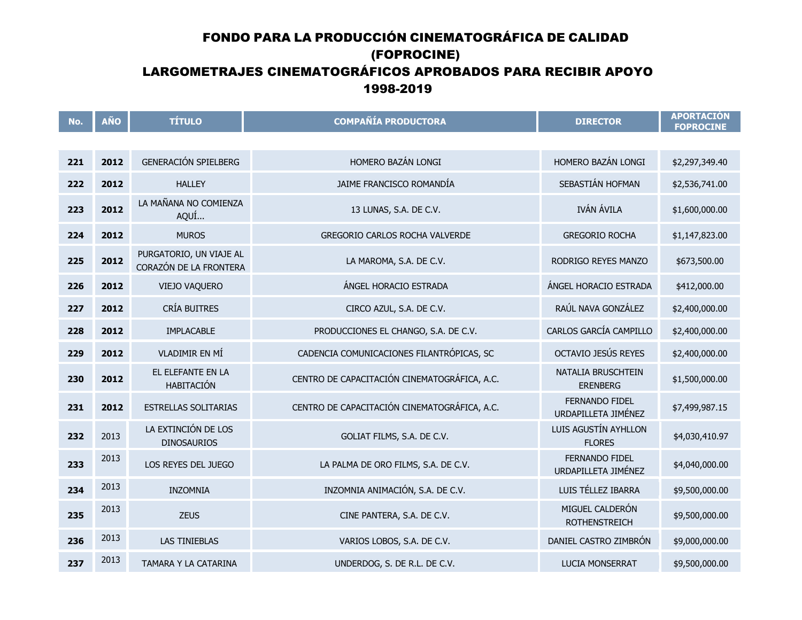| No. | <b>AÑO</b> | <b>TÍTULO</b>                                     | <b>COMPAÑÍA PRODUCTORA</b>                   | <b>DIRECTOR</b>                         | <b>APORTACIÓN</b><br><b>FOPROCINE</b> |
|-----|------------|---------------------------------------------------|----------------------------------------------|-----------------------------------------|---------------------------------------|
|     |            |                                                   |                                              |                                         |                                       |
| 221 | 2012       | <b>GENERACIÓN SPIELBERG</b>                       | HOMERO BAZÁN LONGI                           | HOMERO BAZÁN LONGI                      | \$2,297,349.40                        |
| 222 | 2012       | <b>HALLEY</b>                                     | JAIME FRANCISCO ROMANDÍA                     | SEBASTIÁN HOFMAN                        | \$2,536,741.00                        |
| 223 | 2012       | LA MAÑANA NO COMIENZA<br>AQUÍ                     | 13 LUNAS, S.A. DE C.V.                       | IVÁN ÁVILA                              | \$1,600,000.00                        |
| 224 | 2012       | <b>MUROS</b>                                      | <b>GREGORIO CARLOS ROCHA VALVERDE</b>        | <b>GREGORIO ROCHA</b>                   | \$1,147,823.00                        |
| 225 | 2012       | PURGATORIO, UN VIAJE AL<br>CORAZÓN DE LA FRONTERA | LA MAROMA, S.A. DE C.V.                      | RODRIGO REYES MANZO                     | \$673,500.00                          |
| 226 | 2012       | VIEJO VAQUERO                                     | ÁNGEL HORACIO ESTRADA                        | ÁNGEL HORACIO ESTRADA                   | \$412,000.00                          |
| 227 | 2012       | <b>CRÍA BUITRES</b>                               | CIRCO AZUL, S.A. DE C.V.                     | RAÚL NAVA GONZÁLEZ                      | \$2,400,000.00                        |
| 228 | 2012       | <b>IMPLACABLE</b>                                 | PRODUCCIONES EL CHANGO, S.A. DE C.V.         | CARLOS GARCÍA CAMPILLO                  | \$2,400,000.00                        |
| 229 | 2012       | <b>VLADIMIR EN MÍ</b>                             | CADENCIA COMUNICACIONES FILANTRÓPICAS, SC    | OCTAVIO JESÚS REYES                     | \$2,400,000.00                        |
| 230 | 2012       | EL ELEFANTE EN LA<br><b>HABITACIÓN</b>            | CENTRO DE CAPACITACIÓN CINEMATOGRÁFICA, A.C. | NATALIA BRUSCHTEIN<br><b>ERENBERG</b>   | \$1,500,000.00                        |
| 231 | 2012       | <b>ESTRELLAS SOLITARIAS</b>                       | CENTRO DE CAPACITACIÓN CINEMATOGRÁFICA, A.C. | FERNANDO FIDEL<br>URDAPILLETA JIMÉNEZ   | \$7,499,987.15                        |
| 232 | 2013       | LA EXTINCIÓN DE LOS<br><b>DINOSAURIOS</b>         | GOLIAT FILMS, S.A. DE C.V.                   | LUIS AGUSTÍN AYHLLON<br><b>FLORES</b>   | \$4,030,410.97                        |
| 233 | 2013       | LOS REYES DEL JUEGO                               | LA PALMA DE ORO FILMS, S.A. DE C.V.          | FERNANDO FIDEL<br>URDAPILLETA JIMÉNEZ   | \$4,040,000.00                        |
| 234 | 2013       | <b>INZOMNIA</b>                                   | INZOMNIA ANIMACIÓN, S.A. DE C.V.             | LUIS TÉLLEZ IBARRA                      | \$9,500,000.00                        |
| 235 | 2013       | <b>ZEUS</b>                                       | CINE PANTERA, S.A. DE C.V.                   | MIGUEL CALDERÓN<br><b>ROTHENSTREICH</b> | \$9,500,000.00                        |
| 236 | 2013       | <b>LAS TINIEBLAS</b>                              | VARIOS LOBOS, S.A. DE C.V.                   | DANIEL CASTRO ZIMBRON                   | \$9,000,000.00                        |
| 237 | 2013       | <b>TAMARA Y LA CATARINA</b>                       | UNDERDOG, S. DE R.L. DE C.V.                 | <b>LUCIA MONSERRAT</b>                  | \$9,500,000.00                        |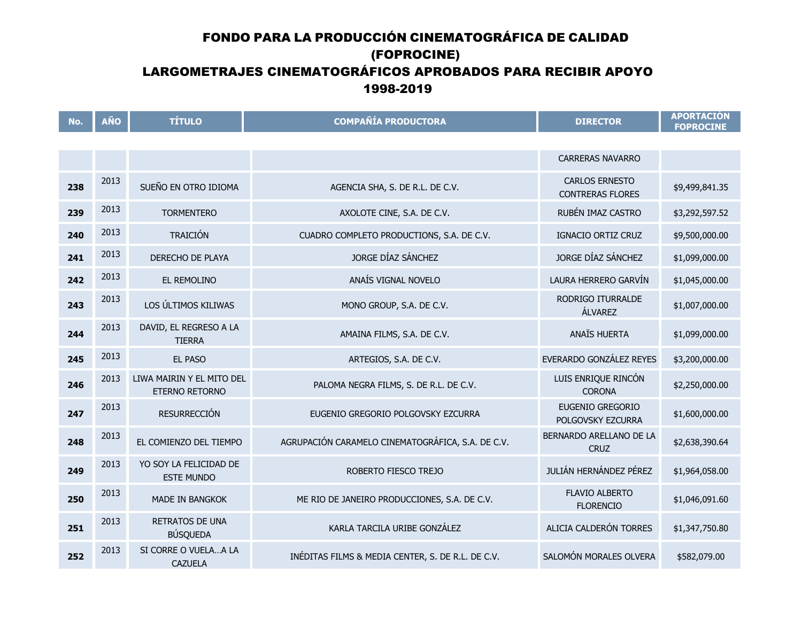| No. | <b>AÑO</b> | <b>TÍTULO</b>                               | <b>COMPAÑÍA PRODUCTORA</b>                        | <b>DIRECTOR</b>                                  | <b>APORTACIÓN</b><br><b>FOPROCINE</b> |
|-----|------------|---------------------------------------------|---------------------------------------------------|--------------------------------------------------|---------------------------------------|
|     |            |                                             |                                                   |                                                  |                                       |
|     |            |                                             |                                                   | <b>CARRERAS NAVARRO</b>                          |                                       |
| 238 | 2013       | SUEÑO EN OTRO IDIOMA                        | AGENCIA SHA, S. DE R.L. DE C.V.                   | <b>CARLOS ERNESTO</b><br><b>CONTRERAS FLORES</b> | \$9,499,841.35                        |
| 239 | 2013       | <b>TORMENTERO</b>                           | AXOLOTE CINE, S.A. DE C.V.                        | RUBÉN IMAZ CASTRO                                | \$3,292,597.52                        |
| 240 | 2013       | <b>TRAICIÓN</b>                             | CUADRO COMPLETO PRODUCTIONS, S.A. DE C.V.         | IGNACIO ORTIZ CRUZ                               | \$9,500,000.00                        |
| 241 | 2013       | DERECHO DE PLAYA                            | JORGE DÍAZ SÁNCHEZ                                | JORGE DÍAZ SÁNCHEZ                               | \$1,099,000.00                        |
| 242 | 2013       | EL REMOLINO                                 | ANAÍS VIGNAL NOVELO                               | LAURA HERRERO GARVÍN                             | \$1,045,000.00                        |
| 243 | 2013       | LOS ÚLTIMOS KILIWAS                         | MONO GROUP, S.A. DE C.V.                          | RODRIGO ITURRALDE<br>ÁLVAREZ                     | \$1,007,000.00                        |
| 244 | 2013       | DAVID, EL REGRESO A LA<br><b>TIERRA</b>     | AMAINA FILMS, S.A. DE C.V.                        | <b>ANAÏS HUERTA</b>                              | \$1,099,000.00                        |
| 245 | 2013       | EL PASO                                     | ARTEGIOS, S.A. DE C.V.                            | EVERARDO GONZÁLEZ REYES                          | \$3,200,000.00                        |
| 246 | 2013       | LIWA MAIRIN Y EL MITO DEL<br>ETERNO RETORNO | PALOMA NEGRA FILMS, S. DE R.L. DE C.V.            | LUIS ENRIQUE RINCÓN<br><b>CORONA</b>             | \$2,250,000.00                        |
| 247 | 2013       | <b>RESURRECCIÓN</b>                         | EUGENIO GREGORIO POLGOVSKY EZCURRA                | <b>EUGENIO GREGORIO</b><br>POLGOVSKY EZCURRA     | \$1,600,000.00                        |
| 248 | 2013       | EL COMIENZO DEL TIEMPO                      | AGRUPACIÓN CARAMELO CINEMATOGRÁFICA, S.A. DE C.V. | BERNARDO ARELLANO DE LA<br><b>CRUZ</b>           | \$2,638,390.64                        |
| 249 | 2013       | YO SOY LA FELICIDAD DE<br><b>ESTE MUNDO</b> | ROBERTO FIESCO TREJO                              | JULIÁN HERNÁNDEZ PÉREZ                           | \$1,964,058.00                        |
| 250 | 2013       | MADE IN BANGKOK                             | ME RIO DE JANEIRO PRODUCCIONES, S.A. DE C.V.      | <b>FLAVIO ALBERTO</b><br><b>FLORENCIO</b>        | \$1,046,091.60                        |
| 251 | 2013       | RETRATOS DE UNA<br><b>BÚSQUEDA</b>          | KARLA TARCILA URIBE GONZÁLEZ                      | ALICIA CALDERÓN TORRES                           | \$1,347,750.80                        |
| 252 | 2013       | SI CORRE O VUELAA LA<br><b>CAZUELA</b>      | INÉDITAS FILMS & MEDIA CENTER, S. DE R.L. DE C.V. | SALOMÓN MORALES OLVERA                           | \$582,079.00                          |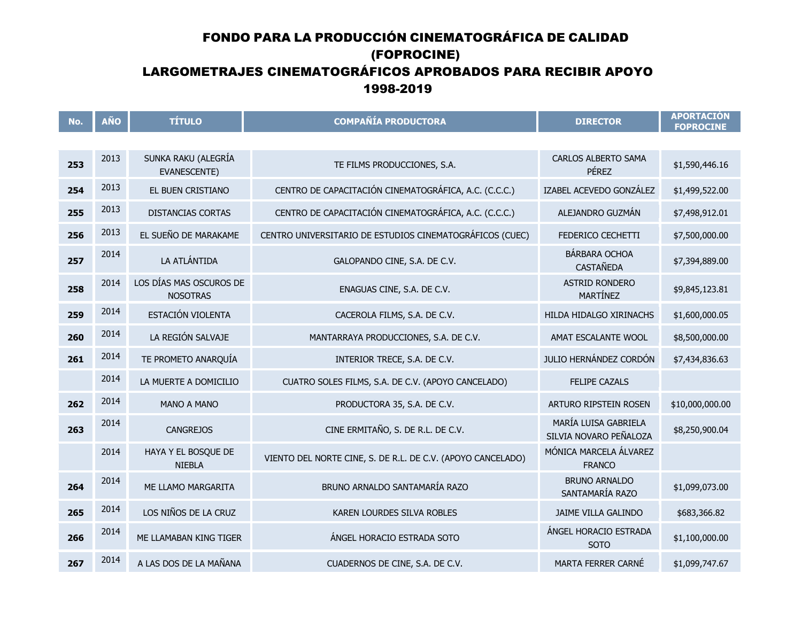| No. | <b>AÑO</b> | <b>TÍTULO</b>                              | <b>COMPAÑÍA PRODUCTORA</b>                                  | <b>DIRECTOR</b>                                | <b>APORTACIÓN</b><br><b>FOPROCINE</b> |
|-----|------------|--------------------------------------------|-------------------------------------------------------------|------------------------------------------------|---------------------------------------|
|     |            |                                            |                                                             |                                                |                                       |
| 253 | 2013       | SUNKA RAKU (ALEGRÍA<br>EVANESCENTE)        | TE FILMS PRODUCCIONES, S.A.                                 | <b>CARLOS ALBERTO SAMA</b><br>PÉREZ            | \$1,590,446.16                        |
| 254 | 2013       | EL BUEN CRISTIANO                          | CENTRO DE CAPACITACIÓN CINEMATOGRÁFICA, A.C. (C.C.C.)       | IZABEL ACEVEDO GONZÁLEZ                        | \$1,499,522.00                        |
| 255 | 2013       | DISTANCIAS CORTAS                          | CENTRO DE CAPACITACIÓN CINEMATOGRÁFICA, A.C. (C.C.C.)       | ALEJANDRO GUZMÁN                               | \$7,498,912.01                        |
| 256 | 2013       | EL SUEÑO DE MARAKAME                       | CENTRO UNIVERSITARIO DE ESTUDIOS CINEMATOGRÁFICOS (CUEC)    | FEDERICO CECHETTI                              | \$7,500,000.00                        |
| 257 | 2014       | LA ATLÁNTIDA                               | GALOPANDO CINE, S.A. DE C.V.                                | BÁRBARA OCHOA<br><b>CASTAÑEDA</b>              | \$7,394,889.00                        |
| 258 | 2014       | LOS DÍAS MAS OSCUROS DE<br><b>NOSOTRAS</b> | ENAGUAS CINE, S.A. DE C.V.                                  | ASTRID RONDERO<br>MARTÍNEZ                     | \$9,845,123.81                        |
| 259 | 2014       | ESTACIÓN VIOLENTA                          | CACEROLA FILMS, S.A. DE C.V.                                | HILDA HIDALGO XIRINACHS                        | \$1,600,000.05                        |
| 260 | 2014       | LA REGIÓN SALVAJE                          | MANTARRAYA PRODUCCIONES, S.A. DE C.V.                       | AMAT ESCALANTE WOOL                            | \$8,500,000.00                        |
| 261 | 2014       | TE PROMETO ANARQUÍA                        | INTERIOR TRECE, S.A. DE C.V.                                | JULIO HERNÁNDEZ CORDÓN                         | \$7,434,836.63                        |
|     | 2014       | LA MUERTE A DOMICILIO                      | CUATRO SOLES FILMS, S.A. DE C.V. (APOYO CANCELADO)          | FELIPE CAZALS                                  |                                       |
| 262 | 2014       | MANO A MANO                                | PRODUCTORA 35, S.A. DE C.V.                                 | ARTURO RIPSTEIN ROSEN                          | \$10,000,000.00                       |
| 263 | 2014       | <b>CANGREJOS</b>                           | CINE ERMITAÑO, S. DE R.L. DE C.V.                           | MARÍA LUISA GABRIELA<br>SILVIA NOVARO PEÑALOZA | \$8,250,900.04                        |
|     | 2014       | HAYA Y EL BOSQUE DE<br><b>NIEBLA</b>       | VIENTO DEL NORTE CINE, S. DE R.L. DE C.V. (APOYO CANCELADO) | MÓNICA MARCELA ÁLVAREZ<br><b>FRANCO</b>        |                                       |
| 264 | 2014       | ME LLAMO MARGARITA                         | BRUNO ARNALDO SANTAMARÍA RAZO                               | <b>BRUNO ARNALDO</b><br>SANTAMARÍA RAZO        | \$1,099,073.00                        |
| 265 | 2014       | LOS NIÑOS DE LA CRUZ                       | KAREN LOURDES SILVA ROBLES                                  | JAIME VILLA GALINDO                            | \$683,366.82                          |
| 266 | 2014       | ME LLAMABAN KING TIGER                     | ÁNGEL HORACIO ESTRADA SOTO                                  | ÁNGEL HORACIO ESTRADA<br><b>SOTO</b>           | \$1,100,000.00                        |
| 267 | 2014       | A LAS DOS DE LA MAÑANA                     | CUADERNOS DE CINE, S.A. DE C.V.                             | MARTA FERRER CARNÉ                             | \$1,099,747.67                        |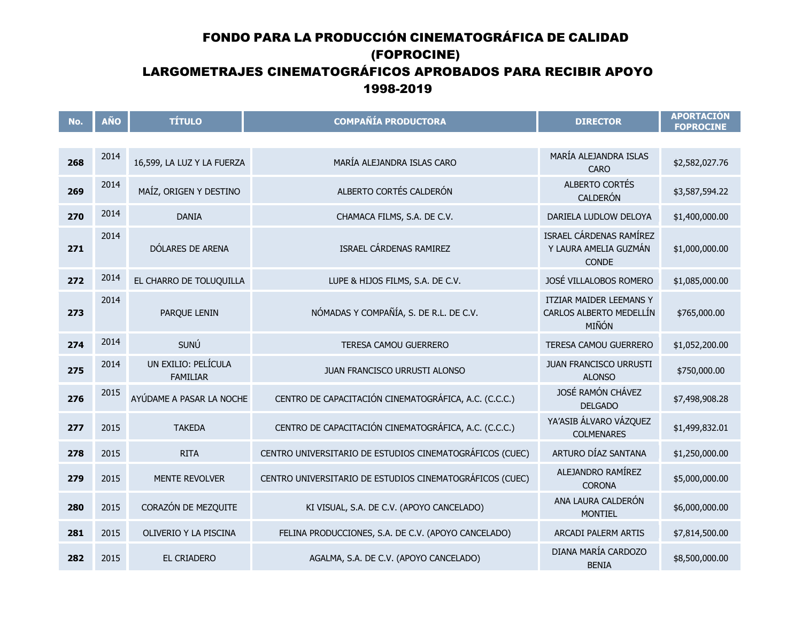| No. | <b>AÑO</b> | <b>TÍTULO</b>                          | <b>COMPAÑÍA PRODUCTORA</b>                               | <b>DIRECTOR</b>                                                    | <b>APORTACIÓN</b><br><b>FOPROCINE</b> |
|-----|------------|----------------------------------------|----------------------------------------------------------|--------------------------------------------------------------------|---------------------------------------|
|     |            |                                        |                                                          |                                                                    |                                       |
| 268 | 2014       | 16,599, LA LUZ Y LA FUERZA             | MARÍA ALEJANDRA ISLAS CARO                               | MARÍA ALEJANDRA ISLAS<br><b>CARO</b>                               | \$2,582,027.76                        |
| 269 | 2014       | MAÍZ, ORIGEN Y DESTINO                 | ALBERTO CORTÉS CALDERÓN                                  | ALBERTO CORTÉS<br><b>CALDERÓN</b>                                  | \$3,587,594.22                        |
| 270 | 2014       | <b>DANIA</b>                           | CHAMACA FILMS, S.A. DE C.V.                              | DARIELA LUDLOW DELOYA                                              | \$1,400,000.00                        |
| 271 | 2014       | DÓLARES DE ARENA                       | ISRAEL CÁRDENAS RAMIREZ                                  | ISRAEL CÁRDENAS RAMÍREZ<br>Y LAURA AMELIA GUZMÁN<br><b>CONDE</b>   | \$1,000,000.00                        |
| 272 | 2014       | EL CHARRO DE TOLUQUILLA                | LUPE & HIJOS FILMS, S.A. DE C.V.                         | JOSÉ VILLALOBOS ROMERO                                             | \$1,085,000.00                        |
| 273 | 2014       | PARQUE LENIN                           | NÓMADAS Y COMPAÑÍA, S. DE R.L. DE C.V.                   | <b>ITZIAR MAIDER LEEMANS Y</b><br>CARLOS ALBERTO MEDELLÍN<br>MIÑÓN | \$765,000.00                          |
| 274 | 2014       | SUNÚ                                   | TERESA CAMOU GUERRERO                                    | TERESA CAMOU GUERRERO                                              | \$1,052,200.00                        |
| 275 | 2014       | UN EXILIO: PELÍCULA<br><b>FAMILIAR</b> | JUAN FRANCISCO URRUSTI ALONSO                            | JUAN FRANCISCO URRUSTI<br><b>ALONSO</b>                            | \$750,000.00                          |
| 276 | 2015       | AYÚDAME A PASAR LA NOCHE               | CENTRO DE CAPACITACIÓN CINEMATOGRÁFICA, A.C. (C.C.C.)    | JOSÉ RAMÓN CHÁVEZ<br><b>DELGADO</b>                                | \$7,498,908.28                        |
| 277 | 2015       | <b>TAKEDA</b>                          | CENTRO DE CAPACITACIÓN CINEMATOGRÁFICA, A.C. (C.C.C.)    | YA'ASIB ÁLVARO VÁZQUEZ<br><b>COLMENARES</b>                        | \$1,499,832.01                        |
| 278 | 2015       | <b>RITA</b>                            | CENTRO UNIVERSITARIO DE ESTUDIOS CINEMATOGRÁFICOS (CUEC) | ARTURO DÍAZ SANTANA                                                | \$1,250,000.00                        |
| 279 | 2015       | <b>MENTE REVOLVER</b>                  | CENTRO UNIVERSITARIO DE ESTUDIOS CINEMATOGRÁFICOS (CUEC) | ALEJANDRO RAMÍREZ<br><b>CORONA</b>                                 | \$5,000,000.00                        |
| 280 | 2015       | CORAZÓN DE MEZQUITE                    | KI VISUAL, S.A. DE C.V. (APOYO CANCELADO)                | ANA LAURA CALDERÓN<br><b>MONTIEL</b>                               | \$6,000,000.00                        |
| 281 | 2015       | OLIVERIO Y LA PISCINA                  | FELINA PRODUCCIONES, S.A. DE C.V. (APOYO CANCELADO)      | ARCADI PALERM ARTIS                                                | \$7,814,500.00                        |
| 282 | 2015       | <b>EL CRIADERO</b>                     | AGALMA, S.A. DE C.V. (APOYO CANCELADO)                   | DIANA MARÍA CARDOZO<br><b>BENIA</b>                                | \$8,500,000.00                        |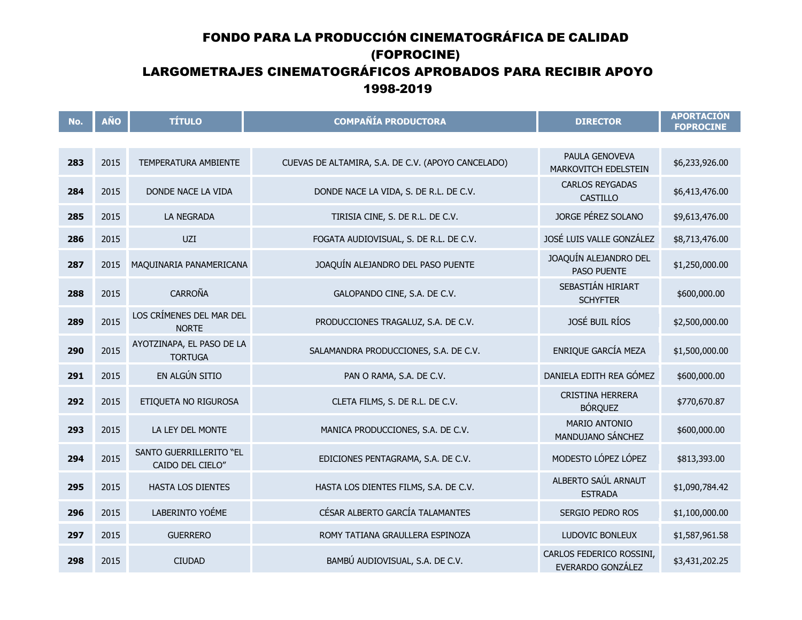| No. | <b>AÑO</b> | <b>TÍTULO</b>                               | <b>COMPAÑÍA PRODUCTORA</b>                         | <b>DIRECTOR</b>                               | <b>APORTACIÓN</b><br><b>FOPROCINE</b> |
|-----|------------|---------------------------------------------|----------------------------------------------------|-----------------------------------------------|---------------------------------------|
|     |            |                                             |                                                    |                                               |                                       |
| 283 | 2015       | <b>TEMPERATURA AMBIENTE</b>                 | CUEVAS DE ALTAMIRA, S.A. DE C.V. (APOYO CANCELADO) | PAULA GENOVEVA<br>MARKOVITCH EDELSTEIN        | \$6,233,926.00                        |
| 284 | 2015       | DONDE NACE LA VIDA                          | DONDE NACE LA VIDA, S. DE R.L. DE C.V.             | <b>CARLOS REYGADAS</b><br>CASTILLO            | \$6,413,476.00                        |
| 285 | 2015       | LA NEGRADA                                  | TIRISIA CINE, S. DE R.L. DE C.V.                   | JORGE PÉREZ SOLANO                            | \$9,613,476.00                        |
| 286 | 2015       | UZI                                         | FOGATA AUDIOVISUAL, S. DE R.L. DE C.V.             | JOSÉ LUIS VALLE GONZÁLEZ                      | \$8,713,476.00                        |
| 287 | 2015       | MAQUINARIA PANAMERICANA                     | JOAQUÍN ALEJANDRO DEL PASO PUENTE                  | JOAQUÍN ALEJANDRO DEL<br><b>PASO PUENTE</b>   | \$1,250,000.00                        |
| 288 | 2015       | <b>CARROÑA</b>                              | GALOPANDO CINE, S.A. DE C.V.                       | SEBASTIÁN HIRIART<br><b>SCHYFTER</b>          | \$600,000.00                          |
| 289 | 2015       | LOS CRÍMENES DEL MAR DEL<br><b>NORTE</b>    | PRODUCCIONES TRAGALUZ, S.A. DE C.V.                | <b>JOSÉ BUIL RÍOS</b>                         | \$2,500,000.00                        |
| 290 | 2015       | AYOTZINAPA, EL PASO DE LA<br><b>TORTUGA</b> | SALAMANDRA PRODUCCIONES, S.A. DE C.V.              | ENRIQUE GARCÍA MEZA                           | \$1,500,000.00                        |
| 291 | 2015       | EN ALGÚN SITIO                              | PAN O RAMA, S.A. DE C.V.                           | DANIELA EDITH REA GÓMEZ                       | \$600,000.00                          |
| 292 | 2015       | ETIQUETA NO RIGUROSA                        | CLETA FILMS, S. DE R.L. DE C.V.                    | <b>CRISTINA HERRERA</b><br><b>BÓRQUEZ</b>     | \$770,670.87                          |
| 293 | 2015       | LA LEY DEL MONTE                            | MANICA PRODUCCIONES, S.A. DE C.V.                  | MARIO ANTONIO<br>MANDUJANO SÁNCHEZ            | \$600,000.00                          |
| 294 | 2015       | SANTO GUERRILLERITO "EL<br>CAIDO DEL CIELO" | EDICIONES PENTAGRAMA, S.A. DE C.V.                 | MODESTO LÓPEZ LÓPEZ                           | \$813,393.00                          |
| 295 | 2015       | HASTA LOS DIENTES                           | HASTA LOS DIENTES FILMS, S.A. DE C.V.              | ALBERTO SAÚL ARNAUT<br><b>ESTRADA</b>         | \$1,090,784.42                        |
| 296 | 2015       | LABERINTO YOÉME                             | CÉSAR ALBERTO GARCÍA TALAMANTES                    | SERGIO PEDRO ROS                              | \$1,100,000.00                        |
| 297 | 2015       | <b>GUERRERO</b>                             | ROMY TATIANA GRAULLERA ESPINOZA                    | LUDOVIC BONLEUX                               | \$1,587,961.58                        |
| 298 | 2015       | <b>CIUDAD</b>                               | BAMBÚ AUDIOVISUAL, S.A. DE C.V.                    | CARLOS FEDERICO ROSSINI,<br>EVERARDO GONZÁLEZ | \$3,431,202.25                        |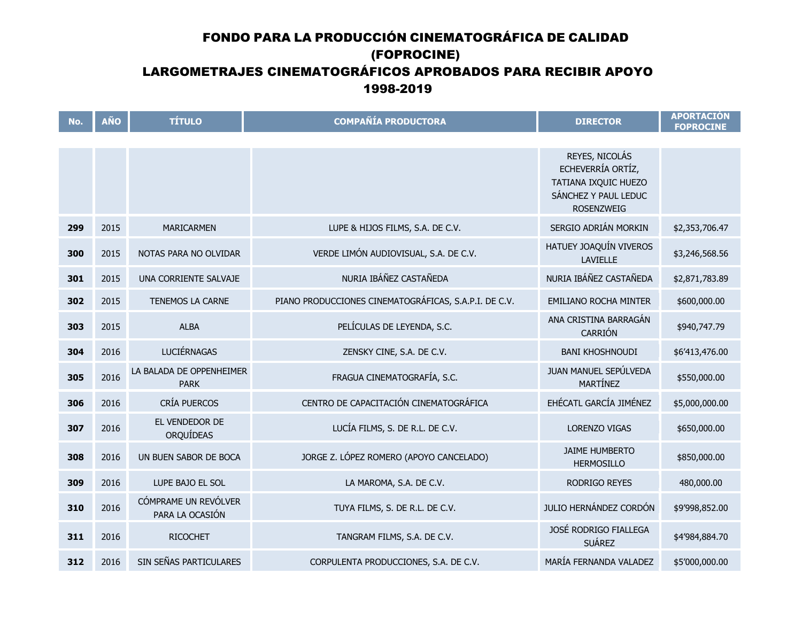| No. | <b>AÑO</b> | <b>TÍTULO</b>                           | <b>COMPAÑÍA PRODUCTORA</b>                            | <b>DIRECTOR</b>                                                                                          | <b>APORTACIÓN</b><br><b>FOPROCINE</b> |
|-----|------------|-----------------------------------------|-------------------------------------------------------|----------------------------------------------------------------------------------------------------------|---------------------------------------|
|     |            |                                         |                                                       |                                                                                                          |                                       |
|     |            |                                         |                                                       | REYES, NICOLÁS<br>ECHEVERRÍA ORTÍZ,<br>TATIANA IXQUIC HUEZO<br>SÁNCHEZ Y PAUL LEDUC<br><b>ROSENZWEIG</b> |                                       |
| 299 | 2015       | <b>MARICARMEN</b>                       | LUPE & HIJOS FILMS, S.A. DE C.V.                      | SERGIO ADRIÁN MORKIN                                                                                     | \$2,353,706.47                        |
| 300 | 2015       | NOTAS PARA NO OLVIDAR                   | VERDE LIMÓN AUDIOVISUAL, S.A. DE C.V.                 | HATUEY JOAQUÍN VIVEROS<br><b>LAVIELLE</b>                                                                | \$3,246,568.56                        |
| 301 | 2015       | UNA CORRIENTE SALVAJE                   | NURIA IBÁÑEZ CASTAÑEDA                                | NURIA IBÁÑEZ CASTAÑEDA                                                                                   | \$2,871,783.89                        |
| 302 | 2015       | TENEMOS LA CARNE                        | PIANO PRODUCCIONES CINEMATOGRÁFICAS, S.A.P.I. DE C.V. | <b>EMILIANO ROCHA MINTER</b>                                                                             | \$600,000.00                          |
| 303 | 2015       | <b>ALBA</b>                             | PELÍCULAS DE LEYENDA, S.C.                            | ANA CRISTINA BARRAGÁN<br>CARRIÓN                                                                         | \$940,747.79                          |
| 304 | 2016       | <b>LUCIÉRNAGAS</b>                      | ZENSKY CINE, S.A. DE C.V.                             | <b>BANI KHOSHNOUDI</b>                                                                                   | \$6'413,476.00                        |
| 305 | 2016       | LA BALADA DE OPPENHEIMER<br><b>PARK</b> | FRAGUA CINEMATOGRAFÍA, S.C.                           | JUAN MANUEL SEPÚLVEDA<br><b>MARTÍNEZ</b>                                                                 | \$550,000.00                          |
| 306 | 2016       | CRÍA PUERCOS                            | CENTRO DE CAPACITACIÓN CINEMATOGRÁFICA                | EHÉCATL GARCÍA JIMÉNEZ                                                                                   | \$5,000,000.00                        |
| 307 | 2016       | EL VENDEDOR DE<br><b>ORQUÍDEAS</b>      | LUCÍA FILMS, S. DE R.L. DE C.V.                       | LORENZO VIGAS                                                                                            | \$650,000.00                          |
| 308 | 2016       | UN BUEN SABOR DE BOCA                   | JORGE Z. LÓPEZ ROMERO (APOYO CANCELADO)               | <b>JAIME HUMBERTO</b><br><b>HERMOSILLO</b>                                                               | \$850,000.00                          |
| 309 | 2016       | LUPE BAJO EL SOL                        | LA MAROMA, S.A. DE C.V.                               | <b>RODRIGO REYES</b>                                                                                     | 480,000.00                            |
| 310 | 2016       | CÓMPRAME UN REVÓLVER<br>PARA LA OCASIÓN | TUYA FILMS, S. DE R.L. DE C.V.                        | JULIO HERNÁNDEZ CORDÓN                                                                                   | \$9'998,852.00                        |
| 311 | 2016       | <b>RICOCHET</b>                         | TANGRAM FILMS, S.A. DE C.V.                           | JOSÉ RODRIGO FIALLEGA<br><b>SUÁREZ</b>                                                                   | \$4'984,884.70                        |
| 312 | 2016       | SIN SEÑAS PARTICULARES                  | CORPULENTA PRODUCCIONES, S.A. DE C.V.                 | MARÍA FERNANDA VALADEZ                                                                                   | \$5'000,000.00                        |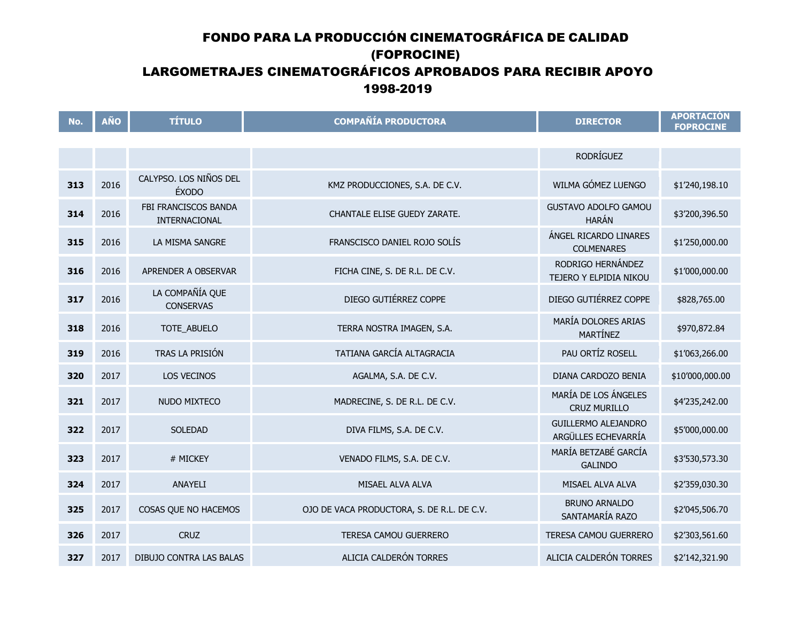| No. | <b>AÑO</b> | <b>TÍTULO</b>                          | <b>COMPAÑÍA PRODUCTORA</b>                 | <b>DIRECTOR</b>                                   | <b>APORTACIÓN</b><br><b>FOPROCINE</b> |
|-----|------------|----------------------------------------|--------------------------------------------|---------------------------------------------------|---------------------------------------|
|     |            |                                        |                                            |                                                   |                                       |
|     |            |                                        |                                            | <b>RODRÍGUEZ</b>                                  |                                       |
| 313 | 2016       | CALYPSO. LOS NIÑOS DEL<br><b>ÉXODO</b> | KMZ PRODUCCIONES, S.A. DE C.V.             | WILMA GÓMEZ LUENGO                                | \$1'240,198.10                        |
| 314 | 2016       | FBI FRANCISCOS BANDA<br>INTERNACIONAL  | CHANTALE ELISE GUEDY ZARATE.               | <b>GUSTAVO ADOLFO GAMOU</b><br><b>HARÁN</b>       | \$3'200,396.50                        |
| 315 | 2016       | LA MISMA SANGRE                        | FRANSCISCO DANIEL ROJO SOLÍS               | ÁNGEL RICARDO LINARES<br><b>COLMENARES</b>        | \$1'250,000.00                        |
| 316 | 2016       | APRENDER A OBSERVAR                    | FICHA CINE, S. DE R.L. DE C.V.             | RODRIGO HERNÁNDEZ<br>TEJERO Y ELPIDIA NIKOU       | \$1'000,000.00                        |
| 317 | 2016       | LA COMPAÑÍA QUE<br><b>CONSERVAS</b>    | DIEGO GUTIÉRREZ COPPE                      | DIEGO GUTIÉRREZ COPPE                             | \$828,765.00                          |
| 318 | 2016       | TOTE_ABUELO                            | TERRA NOSTRA IMAGEN, S.A.                  | MARÍA DOLORES ARIAS<br>MARTÍNEZ                   | \$970,872.84                          |
| 319 | 2016       | TRAS LA PRISIÓN                        | TATIANA GARCÍA ALTAGRACIA                  | PAU ORTÍZ ROSELL                                  | \$1'063,266.00                        |
| 320 | 2017       | <b>LOS VECINOS</b>                     | AGALMA, S.A. DE C.V.                       | DIANA CARDOZO BENIA                               | \$10'000,000.00                       |
| 321 | 2017       | NUDO MIXTECO                           | MADRECINE, S. DE R.L. DE C.V.              | MARÍA DE LOS ÁNGELES<br><b>CRUZ MURILLO</b>       | \$4'235,242.00                        |
| 322 | 2017       | <b>SOLEDAD</b>                         | DIVA FILMS, S.A. DE C.V.                   | <b>GUILLERMO ALEJANDRO</b><br>ARGÜLLES ECHEVARRÍA | \$5'000,000.00                        |
| 323 | 2017       | # MICKEY                               | VENADO FILMS, S.A. DE C.V.                 | MARÍA BETZABÉ GARCÍA<br><b>GALINDO</b>            | \$3'530,573.30                        |
| 324 | 2017       | ANAYELI                                | MISAEL ALVA ALVA                           | MISAEL ALVA ALVA                                  | \$2'359,030.30                        |
| 325 | 2017       | COSAS QUE NO HACEMOS                   | OJO DE VACA PRODUCTORA, S. DE R.L. DE C.V. | <b>BRUNO ARNALDO</b><br>SANTAMARÍA RAZO           | \$2'045,506.70                        |
| 326 | 2017       | <b>CRUZ</b>                            | TERESA CAMOU GUERRERO                      | TERESA CAMOU GUERRERO                             | \$2'303,561.60                        |
| 327 | 2017       | DIBUJO CONTRA LAS BALAS                | ALICIA CALDERÓN TORRES                     | ALICIA CALDERÓN TORRES                            | \$2'142,321.90                        |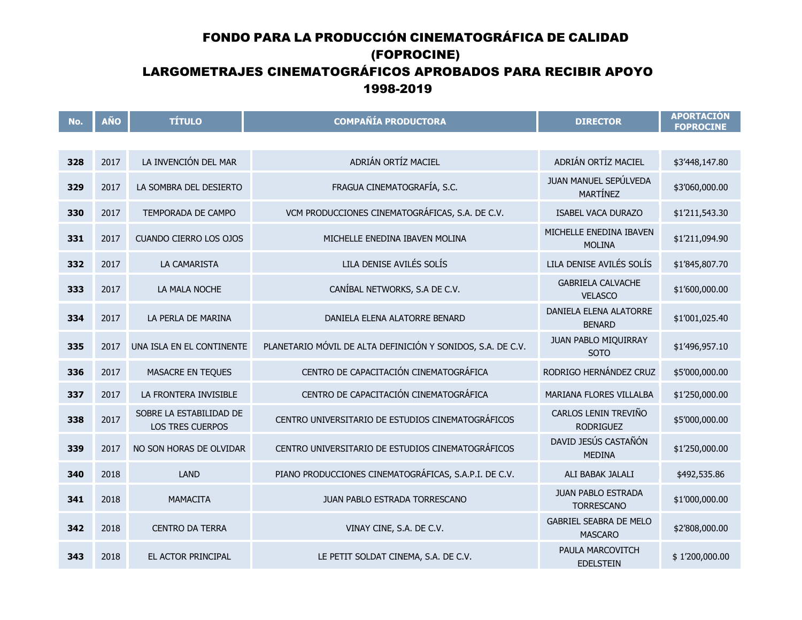| No. | <b>AÑO</b> | <b>TÍTULO</b>                                      | <b>COMPAÑÍA PRODUCTORA</b>                                  | <b>DIRECTOR</b>                                 | <b>APORTACIÓN</b><br><b>FOPROCINE</b> |
|-----|------------|----------------------------------------------------|-------------------------------------------------------------|-------------------------------------------------|---------------------------------------|
|     |            |                                                    |                                                             |                                                 |                                       |
| 328 | 2017       | LA INVENCIÓN DEL MAR                               | ADRIÁN ORTÍZ MACIEL                                         | ADRIÁN ORTÍZ MACIEL                             | \$3'448,147.80                        |
| 329 | 2017       | LA SOMBRA DEL DESIERTO                             | FRAGUA CINEMATOGRAFÍA, S.C.                                 | JUAN MANUEL SEPÚLVEDA<br><b>MARTÍNEZ</b>        | \$3'060,000.00                        |
| 330 | 2017       | TEMPORADA DE CAMPO                                 | VCM PRODUCCIONES CINEMATOGRÁFICAS, S.A. DE C.V.             | <b>ISABEL VACA DURAZO</b>                       | \$1'211,543.30                        |
| 331 | 2017       | CUANDO CIERRO LOS OJOS                             | MICHELLE ENEDINA IBAVEN MOLINA                              | MICHELLE ENEDINA IBAVEN<br><b>MOLINA</b>        | \$1'211,094.90                        |
| 332 | 2017       | LA CAMARISTA                                       | LILA DENISE AVILÉS SOLÍS                                    | LILA DENISE AVILÉS SOLÍS                        | \$1'845,807.70                        |
| 333 | 2017       | LA MALA NOCHE                                      | CANÍBAL NETWORKS, S.A DE C.V.                               | <b>GABRIELA CALVACHE</b><br><b>VELASCO</b>      | \$1'600,000.00                        |
| 334 | 2017       | LA PERLA DE MARINA                                 | DANIELA ELENA ALATORRE BENARD                               | DANIELA ELENA ALATORRE<br><b>BENARD</b>         | \$1'001,025.40                        |
| 335 | 2017       | UNA ISLA EN EL CONTINENTE                          | PLANETARIO MÓVIL DE ALTA DEFINICIÓN Y SONIDOS, S.A. DE C.V. | JUAN PABLO MIQUIRRAY<br><b>SOTO</b>             | \$1'496,957.10                        |
| 336 | 2017       | MASACRE EN TEQUES                                  | CENTRO DE CAPACITACIÓN CINEMATOGRÁFICA                      | RODRIGO HERNÁNDEZ CRUZ                          | \$5'000,000.00                        |
| 337 | 2017       | LA FRONTERA INVISIBLE                              | CENTRO DE CAPACITACIÓN CINEMATOGRÁFICA                      | MARIANA FLORES VILLALBA                         | \$1'250,000.00                        |
| 338 | 2017       | SOBRE LA ESTABILIDAD DE<br><b>LOS TRES CUERPOS</b> | CENTRO UNIVERSITARIO DE ESTUDIOS CINEMATOGRÁFICOS           | CARLOS LENIN TREVIÑO<br><b>RODRIGUEZ</b>        | \$5'000,000.00                        |
| 339 | 2017       | NO SON HORAS DE OLVIDAR                            | CENTRO UNIVERSITARIO DE ESTUDIOS CINEMATOGRÁFICOS           | DAVID JESÚS CASTAÑÓN<br><b>MEDINA</b>           | \$1'250,000.00                        |
| 340 | 2018       | <b>LAND</b>                                        | PIANO PRODUCCIONES CINEMATOGRÁFICAS, S.A.P.I. DE C.V.       | ALI BABAK JALALI                                | \$492,535.86                          |
| 341 | 2018       | <b>MAMACITA</b>                                    | JUAN PABLO ESTRADA TORRESCANO                               | JUAN PABLO ESTRADA<br><b>TORRESCANO</b>         | \$1'000,000.00                        |
| 342 | 2018       | <b>CENTRO DA TERRA</b>                             | VINAY CINE, S.A. DE C.V.                                    | <b>GABRIEL SEABRA DE MELO</b><br><b>MASCARO</b> | \$2'808,000.00                        |
| 343 | 2018       | EL ACTOR PRINCIPAL                                 | LE PETIT SOLDAT CINEMA, S.A. DE C.V.                        | PAULA MARCOVITCH<br><b>EDELSTEIN</b>            | \$1'200,000.00                        |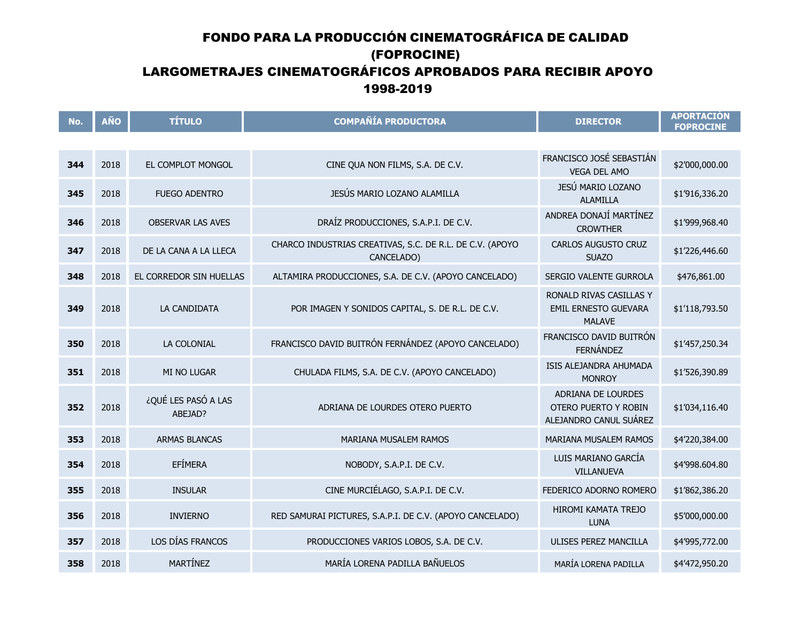| No. | <b>AÑO</b> | <b>TÍTULO</b>                  | <b>COMPAÑÍA PRODUCTORA</b>                                             | <b>DIRECTOR</b>                                                      | <b>APORTACIÓN</b><br><b>FOPROCINE</b> |
|-----|------------|--------------------------------|------------------------------------------------------------------------|----------------------------------------------------------------------|---------------------------------------|
|     |            |                                |                                                                        |                                                                      |                                       |
| 344 | 2018       | EL COMPLOT MONGOL              | CINE QUA NON FILMS, S.A. DE C.V.                                       | FRANCISCO JOSÉ SEBASTIÁN<br><b>VEGA DEL AMO</b>                      | \$2'000,000.00                        |
| 345 | 2018       | <b>FUEGO ADENTRO</b>           | JESÚS MARIO LOZANO ALAMILLA                                            | JESÚ MARIO LOZANO<br><b>ALAMILLA</b>                                 | \$1'916,336.20                        |
| 346 | 2018       | <b>OBSERVAR LAS AVES</b>       | DRAÍZ PRODUCCIONES, S.A.P.I. DE C.V.                                   | ANDREA DONAJÍ MARTÍNEZ<br><b>CROWTHER</b>                            | \$1'999,968.40                        |
| 347 | 2018       | DE LA CANA A LA LLECA          | CHARCO INDUSTRIAS CREATIVAS, S.C. DE R.L. DE C.V. (APOYO<br>CANCELADO) | CARLOS AUGUSTO CRUZ<br><b>SUAZO</b>                                  | \$1'226,446.60                        |
| 348 | 2018       | EL CORREDOR SIN HUELLAS        | ALTAMIRA PRODUCCIONES, S.A. DE C.V. (APOYO CANCELADO)                  | SERGIO VALENTE GURROLA                                               | \$476,861.00                          |
| 349 | 2018       | <b>LA CANDIDATA</b>            | POR IMAGEN Y SONIDOS CAPITAL, S. DE R.L. DE C.V.                       | RONALD RIVAS CASILLAS Y<br>EMIL ERNESTO GUEVARA<br><b>MALAVE</b>     | \$1'118,793.50                        |
| 350 | 2018       | <b>LA COLONIAL</b>             | FRANCISCO DAVID BUITRÓN FERNÁNDEZ (APOYO CANCELADO)                    | FRANCISCO DAVID BUITRÓN<br><b>FERNÁNDEZ</b>                          | \$1'457,250.34                        |
| 351 | 2018       | <b>MI NO LUGAR</b>             | CHULADA FILMS, S.A. DE C.V. (APOYO CANCELADO)                          | ISIS ALEJANDRA AHUMADA<br><b>MONROY</b>                              | \$1'526,390.89                        |
| 352 | 2018       | ¿QUÉ LES PASÓ A LAS<br>ABEJAD? | ADRIANA DE LOURDES OTERO PUERTO                                        | ADRIANA DE LOURDES<br>OTERO PUERTO Y ROBIN<br>ALEJANDRO CANUL SUÁREZ | \$1'034,116.40                        |
| 353 | 2018       | <b>ARMAS BLANCAS</b>           | MARIANA MUSALEM RAMOS                                                  | MARIANA MUSALEM RAMOS                                                | \$4'220,384.00                        |
| 354 | 2018       | EFÍMERA                        | NOBODY, S.A.P.I. DE C.V.                                               | LUIS MARIANO GARCÍA<br><b>VILLANUEVA</b>                             | \$4'998.604.80                        |
| 355 | 2018       | <b>INSULAR</b>                 | CINE MURCIÉLAGO, S.A.P.I. DE C.V.                                      | FEDERICO ADORNO ROMERO                                               | \$1'862,386.20                        |
| 356 | 2018       | <b>INVIERNO</b>                | RED SAMURAI PICTURES, S.A.P.I. DE C.V. (APOYO CANCELADO)               | HIROMI KAMATA TREJO<br><b>LUNA</b>                                   | \$5'000,000.00                        |
| 357 | 2018       | LOS DÍAS FRANCOS               | PRODUCCIONES VARIOS LOBOS, S.A. DE C.V.                                | ULISES PEREZ MANCILLA                                                | \$4'995,772.00                        |
| 358 | 2018       | <b>MARTÍNEZ</b>                | MARÍA LORENA PADILLA BAÑUELOS                                          | MARÍA LORENA PADILLA                                                 | \$4'472,950.20                        |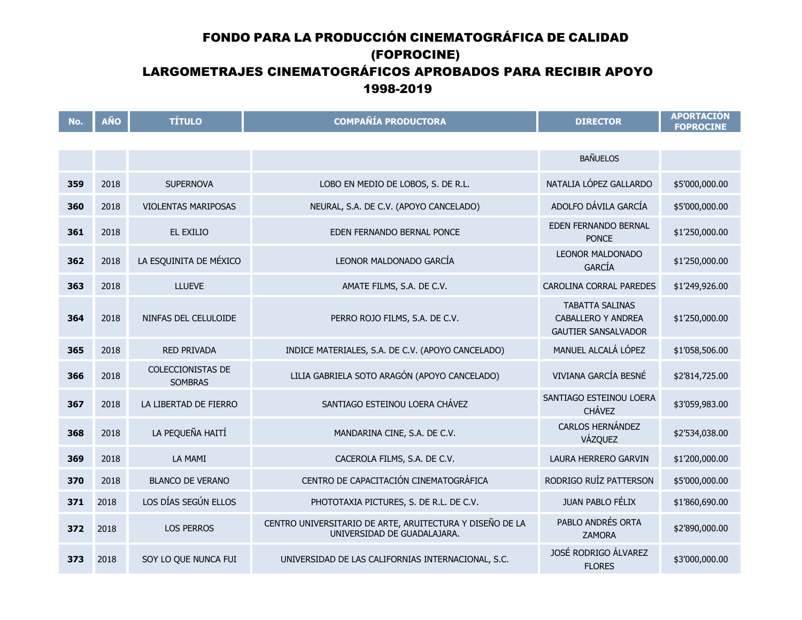| No. | <b>AÑO</b> | <b>TÍTULO</b>                       | <b>COMPAÑÍA PRODUCTORA</b>                                                              | <b>DIRECTOR</b>                                                            | <b>APORTACIÓN</b><br><b>FOPROCINE</b> |
|-----|------------|-------------------------------------|-----------------------------------------------------------------------------------------|----------------------------------------------------------------------------|---------------------------------------|
|     |            |                                     |                                                                                         |                                                                            |                                       |
|     |            |                                     |                                                                                         | <b>BAÑUELOS</b>                                                            |                                       |
| 359 | 2018       | <b>SUPERNOVA</b>                    | LOBO EN MEDIO DE LOBOS, S. DE R.L.                                                      | NATALIA LÓPEZ GALLARDO                                                     | \$5'000,000.00                        |
| 360 | 2018       | <b>VIOLENTAS MARIPOSAS</b>          | NEURAL, S.A. DE C.V. (APOYO CANCELADO)                                                  | ADOLFO DÁVILA GARCÍA                                                       | \$5'000,000.00                        |
| 361 | 2018       | EL EXILIO                           | EDEN FERNANDO BERNAL PONCE                                                              | <b>EDEN FERNANDO BERNAL</b><br><b>PONCE</b>                                | \$1'250,000.00                        |
| 362 | 2018       | LA ESQUINITA DE MÉXICO              | LEONOR MALDONADO GARCÍA                                                                 | <b>LEONOR MALDONADO</b><br><b>GARCÍA</b>                                   | \$1'250,000.00                        |
| 363 | 2018       | <b>LLUEVE</b>                       | AMATE FILMS, S.A. DE C.V.                                                               | CAROLINA CORRAL PAREDES                                                    | \$1'249,926.00                        |
| 364 | 2018       | NINFAS DEL CELULOIDE                | PERRO ROJO FILMS, S.A. DE C.V.                                                          | <b>TABATTA SALINAS</b><br>CABALLERO Y ANDREA<br><b>GAUTIER SANSALVADOR</b> | \$1'250,000.00                        |
| 365 | 2018       | <b>RED PRIVADA</b>                  | INDICE MATERIALES, S.A. DE C.V. (APOYO CANCELADO)                                       | MANUEL ALCALÁ LÓPEZ                                                        | \$1'058,506.00                        |
| 366 | 2018       | COLECCIONISTAS DE<br><b>SOMBRAS</b> | LILIA GABRIELA SOTO ARAGÓN (APOYO CANCELADO)                                            | VIVIANA GARCÍA BESNÉ                                                       | \$2'814,725.00                        |
| 367 | 2018       | LA LIBERTAD DE FIERRO               | SANTIAGO ESTEINOU LOERA CHÁVEZ                                                          | SANTIAGO ESTEINOU LOERA<br><b>CHÁVEZ</b>                                   | \$3'059,983.00                        |
| 368 | 2018       | LA PEQUEÑA HAITÍ                    | MANDARINA CINE, S.A. DE C.V.                                                            | CARLOS HERNÁNDEZ<br>VÁZQUEZ                                                | \$2'534,038.00                        |
| 369 | 2018       | LA MAMI                             | CACEROLA FILMS, S.A. DE C.V.                                                            | LAURA HERRERO GARVIN                                                       | \$1'200,000.00                        |
| 370 | 2018       | <b>BLANCO DE VERANO</b>             | CENTRO DE CAPACITACIÓN CINEMATOGRÁFICA                                                  | RODRIGO RUÍZ PATTERSON                                                     | \$5'000,000.00                        |
| 371 | 2018       | LOS DÍAS SEGÚN ELLOS                | PHOTOTAXIA PICTURES, S. DE R.L. DE C.V.                                                 | JUAN PABLO FÉLIX                                                           | \$1'860,690.00                        |
| 372 | 2018       | <b>LOS PERROS</b>                   | CENTRO UNIVERSITARIO DE ARTE, ARUITECTURA Y DISEÑO DE LA<br>UNIVERSIDAD DE GUADALAJARA. | PABLO ANDRÉS ORTA<br><b>ZAMORA</b>                                         | \$2'890,000.00                        |
| 373 | 2018       | SOY LO QUE NUNCA FUI                | UNIVERSIDAD DE LAS CALIFORNIAS INTERNACIONAL, S.C.                                      | JOSÉ RODRIGO ÁLVAREZ<br><b>FLORES</b>                                      | \$3'000,000.00                        |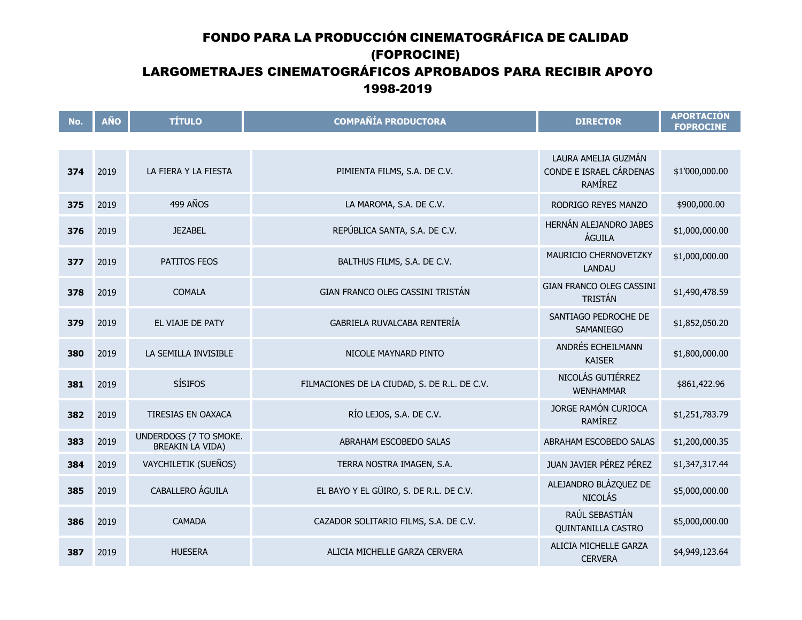| No. | <b>AÑO</b> | <b>TÍTULO</b>                                     | <b>COMPAÑÍA PRODUCTORA</b>                   | <b>DIRECTOR</b>                                           | <b>APORTACIÓN</b><br><b>FOPROCINE</b> |
|-----|------------|---------------------------------------------------|----------------------------------------------|-----------------------------------------------------------|---------------------------------------|
|     |            |                                                   |                                              |                                                           |                                       |
| 374 | 2019       | LA FIERA Y LA FIESTA                              | PIMIENTA FILMS, S.A. DE C.V.                 | LAURA AMELIA GUZMÁN<br>CONDE E ISRAEL CÁRDENAS<br>RAMÍREZ | \$1'000,000.00                        |
| 375 | 2019       | 499 AÑOS                                          | LA MAROMA, S.A. DE C.V.                      | RODRIGO REYES MANZO                                       | \$900,000.00                          |
| 376 | 2019       | <b>JEZABEL</b>                                    | REPÚBLICA SANTA, S.A. DE C.V.                | HERNÁN ALEJANDRO JABES<br>ÁGUILA                          | \$1,000,000.00                        |
| 377 | 2019       | PATITOS FEOS                                      | BALTHUS FILMS, S.A. DE C.V.                  | MAURICIO CHERNOVETZKY<br><b>LANDAU</b>                    | \$1,000,000.00                        |
| 378 | 2019       | <b>COMALA</b>                                     | GIAN FRANCO OLEG CASSINI TRISTÁN             | <b>GIAN FRANCO OLEG CASSINI</b><br><b>TRISTÁN</b>         | \$1,490,478.59                        |
| 379 | 2019       | EL VIAJE DE PATY                                  | GABRIELA RUVALCABA RENTERÍA                  | SANTIAGO PEDROCHE DE<br>SAMANIEGO                         | \$1,852,050.20                        |
| 380 | 2019       | LA SEMILLA INVISIBLE                              | NICOLE MAYNARD PINTO                         | ANDRÉS ECHEILMANN<br><b>KAISER</b>                        | \$1,800,000.00                        |
| 381 | 2019       | <b>SÍSIFOS</b>                                    | FILMACIONES DE LA CIUDAD, S. DE R.L. DE C.V. | NICOLÁS GUTIÉRREZ<br><b>WENHAMMAR</b>                     | \$861,422.96                          |
| 382 | 2019       | TIRESIAS EN OAXACA                                | RÍO LEJOS, S.A. DE C.V.                      | JORGE RAMÓN CURIOCA<br>RAMÍREZ                            | \$1,251,783.79                        |
| 383 | 2019       | UNDERDOGS (7 TO SMOKE.<br><b>BREAKIN LA VIDA)</b> | ABRAHAM ESCOBEDO SALAS                       | ABRAHAM ESCOBEDO SALAS                                    | \$1,200,000.35                        |
| 384 | 2019       | VAYCHILETIK (SUEÑOS)                              | TERRA NOSTRA IMAGEN, S.A.                    | JUAN JAVIER PÉREZ PÉREZ                                   | \$1,347,317.44                        |
| 385 | 2019       | CABALLERO ÁGUILA                                  | EL BAYO Y EL GÜIRO, S. DE R.L. DE C.V.       | ALEJANDRO BLÁZQUEZ DE<br><b>NICOLÁS</b>                   | \$5,000,000.00                        |
| 386 | 2019       | <b>CAMADA</b>                                     | CAZADOR SOLITARIO FILMS, S.A. DE C.V.        | RAÚL SEBASTIÁN<br>QUINTANILLA CASTRO                      | \$5,000,000.00                        |
| 387 | 2019       | <b>HUESERA</b>                                    | ALICIA MICHELLE GARZA CERVERA                | ALICIA MICHELLE GARZA<br><b>CERVERA</b>                   | \$4,949,123.64                        |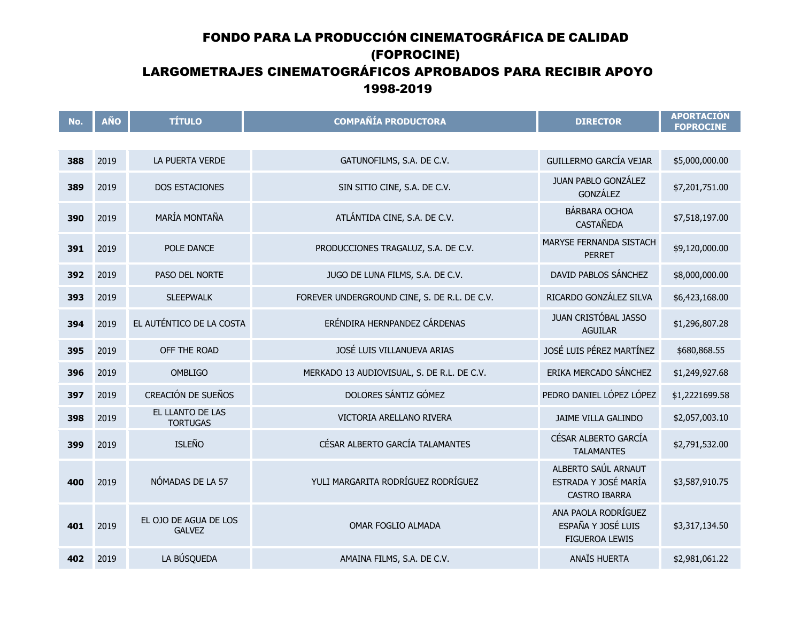| No. | <b>AÑO</b> | <b>TÍTULO</b>                          | <b>COMPAÑÍA PRODUCTORA</b>                   | <b>DIRECTOR</b>                                                     | <b>APORTACIÓN</b><br><b>FOPROCINE</b> |
|-----|------------|----------------------------------------|----------------------------------------------|---------------------------------------------------------------------|---------------------------------------|
|     |            |                                        |                                              |                                                                     |                                       |
| 388 | 2019       | <b>LA PUERTA VERDE</b>                 | GATUNOFILMS, S.A. DE C.V.                    | <b>GUILLERMO GARCÍA VEJAR</b>                                       | \$5,000,000.00                        |
| 389 | 2019       | DOS ESTACIONES                         | SIN SITIO CINE, S.A. DE C.V.                 | JUAN PABLO GONZÁLEZ<br><b>GONZÁLEZ</b>                              | \$7,201,751.00                        |
| 390 | 2019       | MARÍA MONTAÑA                          | ATLÁNTIDA CINE, S.A. DE C.V.                 | BÁRBARA OCHOA<br><b>CASTAÑEDA</b>                                   | \$7,518,197.00                        |
| 391 | 2019       | POLE DANCE                             | PRODUCCIONES TRAGALUZ, S.A. DE C.V.          | MARYSE FERNANDA SISTACH<br><b>PERRET</b>                            | \$9,120,000.00                        |
| 392 | 2019       | <b>PASO DEL NORTE</b>                  | JUGO DE LUNA FILMS, S.A. DE C.V.             | DAVID PABLOS SÁNCHEZ                                                | \$8,000,000.00                        |
| 393 | 2019       | <b>SLEEPWALK</b>                       | FOREVER UNDERGROUND CINE, S. DE R.L. DE C.V. | RICARDO GONZÁLEZ SILVA                                              | \$6,423,168.00                        |
| 394 | 2019       | EL AUTÉNTICO DE LA COSTA               | ERÉNDIRA HERNPANDEZ CÁRDENAS                 | JUAN CRISTÓBAL JASSO<br><b>AGUILAR</b>                              | \$1,296,807.28                        |
| 395 | 2019       | OFF THE ROAD                           | JOSÉ LUIS VILLANUEVA ARIAS                   | JOSÉ LUIS PÉREZ MARTÍNEZ                                            | \$680,868.55                          |
| 396 | 2019       | <b>OMBLIGO</b>                         | MERKADO 13 AUDIOVISUAL, S. DE R.L. DE C.V.   | ERIKA MERCADO SÁNCHEZ                                               | \$1,249,927.68                        |
| 397 | 2019       | CREACIÓN DE SUEÑOS                     | DOLORES SÁNTIZ GÓMEZ                         | PEDRO DANIEL LÓPEZ LÓPEZ                                            | \$1,2221699.58                        |
| 398 | 2019       | EL LLANTO DE LAS<br><b>TORTUGAS</b>    | VICTORIA ARELLANO RIVERA                     | JAIME VILLA GALINDO                                                 | \$2,057,003.10                        |
| 399 | 2019       | <b>ISLEÑO</b>                          | CÉSAR ALBERTO GARCÍA TALAMANTES              | CÉSAR ALBERTO GARCÍA<br><b>TALAMANTES</b>                           | \$2,791,532.00                        |
| 400 | 2019       | NÓMADAS DE LA 57                       | YULI MARGARITA RODRÍGUEZ RODRÍGUEZ           | ALBERTO SAÚL ARNAUT<br>ESTRADA Y JOSÉ MARÍA<br><b>CASTRO IBARRA</b> | \$3,587,910.75                        |
| 401 | 2019       | EL OJO DE AGUA DE LOS<br><b>GALVEZ</b> | OMAR FOGLIO ALMADA                           | ANA PAOLA RODRÍGUEZ<br>ESPAÑA Y JOSÉ LUIS<br><b>FIGUEROA LEWIS</b>  | \$3,317,134.50                        |
| 402 | 2019       | LA BÚSQUEDA                            | AMAINA FILMS, S.A. DE C.V.                   | <b>ANAÏS HUERTA</b>                                                 | \$2,981,061.22                        |